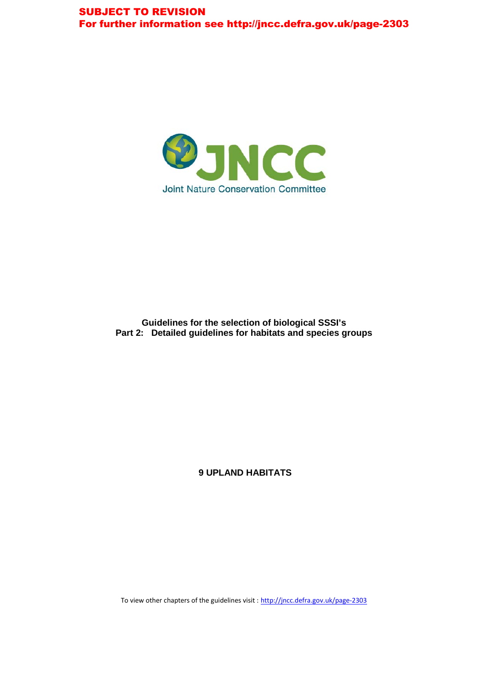

#### **Guidelines for the selection of biological SSSI's Part 2: Detailed guidelines for habitats and species groups**

**9 UPLAND HABITATS**

To view other chapters of the guidelines visit : <http://jncc.defra.gov.uk/page-2303>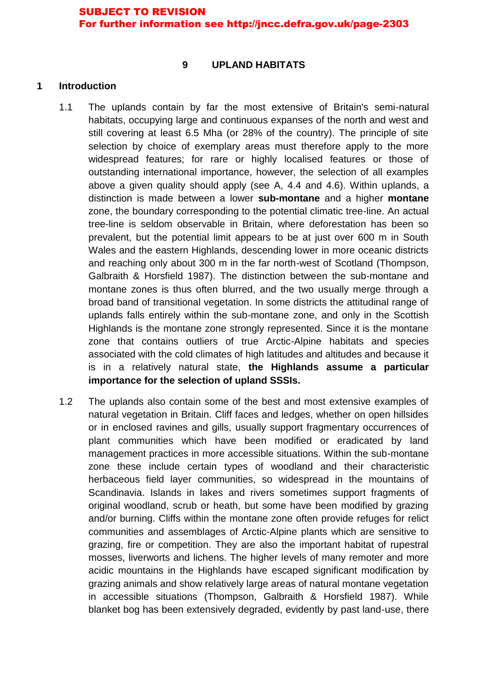#### **9 UPLAND HABITATS**

### **1 Introduction**

- 1.1 The uplands contain by far the most extensive of Britain's semi-natural habitats, occupying large and continuous expanses of the north and west and still covering at least 6.5 Mha (or 28% of the country). The principle of site selection by choice of exemplary areas must therefore apply to the more widespread features; for rare or highly localised features or those of outstanding international importance, however, the selection of all examples above a given quality should apply (see A, 4.4 and 4.6). Within uplands, a distinction is made between a lower **sub-montane** and a higher **montane** zone, the boundary corresponding to the potential climatic tree-line. An actual tree-line is seldom observable in Britain, where deforestation has been so prevalent, but the potential limit appears to be at just over 600 m in South Wales and the eastern Highlands, descending lower in more oceanic districts and reaching only about 300 m in the far north-west of Scotland (Thompson, Galbraith & Horsfield 1987). The distinction between the sub-montane and montane zones is thus often blurred, and the two usually merge through a broad band of transitional vegetation. In some districts the attitudinal range of uplands falls entirely within the sub-montane zone, and only in the Scottish Highlands is the montane zone strongly represented. Since it is the montane zone that contains outliers of true Arctic-Alpine habitats and species associated with the cold climates of high latitudes and altitudes and because it is in a relatively natural state, **the Highlands assume a particular importance for the selection of upland SSSIs.**
- 1.2 The uplands also contain some of the best and most extensive examples of natural vegetation in Britain. Cliff faces and ledges, whether on open hillsides or in enclosed ravines and gills, usually support fragmentary occurrences of plant communities which have been modified or eradicated by land management practices in more accessible situations. Within the sub-montane zone these include certain types of woodland and their characteristic herbaceous field layer communities, so widespread in the mountains of Scandinavia. Islands in lakes and rivers sometimes support fragments of original woodland, scrub or heath, but some have been modified by grazing and/or burning. Cliffs within the montane zone often provide refuges for relict communities and assemblages of Arctic-Alpine plants which are sensitive to grazing, fire or competition. They are also the important habitat of rupestral mosses, liverworts and lichens. The higher levels of many remoter and more acidic mountains in the Highlands have escaped significant modification by grazing animals and show relatively large areas of natural montane vegetation in accessible situations (Thompson, Galbraith & Horsfield 1987). While blanket bog has been extensively degraded, evidently by past land-use, there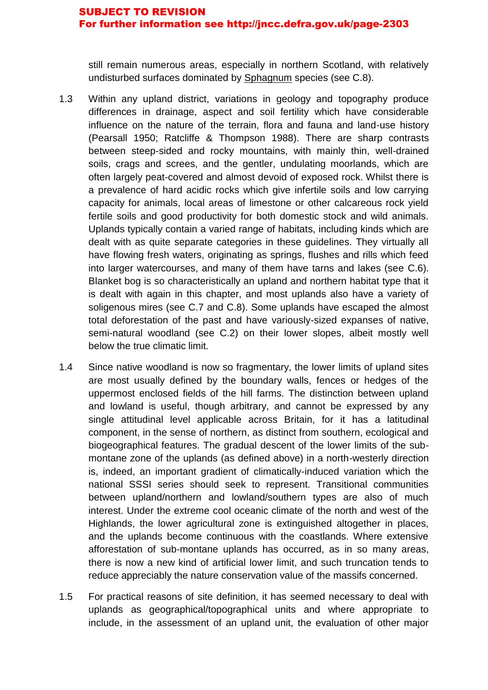still remain numerous areas, especially in northern Scotland, with relatively undisturbed surfaces dominated by Sphagnum species (see C.8).

- 1.3 Within any upland district, variations in geology and topography produce differences in drainage, aspect and soil fertility which have considerable influence on the nature of the terrain, flora and fauna and land-use history (Pearsall 1950; Ratcliffe & Thompson 1988). There are sharp contrasts between steep-sided and rocky mountains, with mainly thin, well-drained soils, crags and screes, and the gentler, undulating moorlands, which are often largely peat-covered and almost devoid of exposed rock. Whilst there is a prevalence of hard acidic rocks which give infertile soils and low carrying capacity for animals, local areas of limestone or other calcareous rock yield fertile soils and good productivity for both domestic stock and wild animals. Uplands typically contain a varied range of habitats, including kinds which are dealt with as quite separate categories in these guidelines. They virtually all have flowing fresh waters, originating as springs, flushes and rills which feed into larger watercourses, and many of them have tarns and lakes (see C.6). Blanket bog is so characteristically an upland and northern habitat type that it is dealt with again in this chapter, and most uplands also have a variety of soligenous mires (see C.7 and C.8). Some uplands have escaped the almost total deforestation of the past and have variously-sized expanses of native, semi-natural woodland (see C.2) on their lower slopes, albeit mostly well below the true climatic limit.
- 1.4 Since native woodland is now so fragmentary, the lower limits of upland sites are most usually defined by the boundary walls, fences or hedges of the uppermost enclosed fields of the hill farms. The distinction between upland and lowland is useful, though arbitrary, and cannot be expressed by any single attitudinal level applicable across Britain, for it has a latitudinal component, in the sense of northern, as distinct from southern, ecological and biogeographical features. The gradual descent of the lower limits of the submontane zone of the uplands (as defined above) in a north-westerly direction is, indeed, an important gradient of climatically-induced variation which the national SSSI series should seek to represent. Transitional communities between upland/northern and lowland/southern types are also of much interest. Under the extreme cool oceanic climate of the north and west of the Highlands, the lower agricultural zone is extinguished altogether in places, and the uplands become continuous with the coastlands. Where extensive afforestation of sub-montane uplands has occurred, as in so many areas, there is now a new kind of artificial lower limit, and such truncation tends to reduce appreciably the nature conservation value of the massifs concerned.
- 1.5 For practical reasons of site definition, it has seemed necessary to deal with uplands as geographical/topographical units and where appropriate to include, in the assessment of an upland unit, the evaluation of other major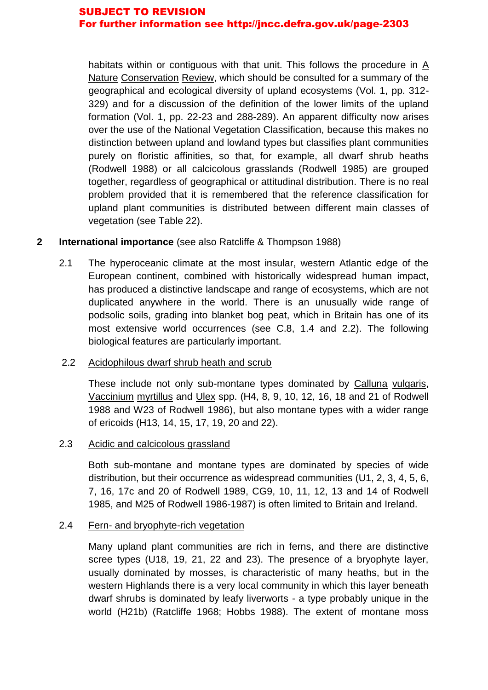habitats within or contiguous with that unit. This follows the procedure in A Nature Conservation Review, which should be consulted for a summary of the geographical and ecological diversity of upland ecosystems (Vol. 1, pp. 312- 329) and for a discussion of the definition of the lower limits of the upland formation (Vol. 1, pp. 22-23 and 288-289). An apparent difficulty now arises over the use of the National Vegetation Classification, because this makes no distinction between upland and lowland types but classifies plant communities purely on floristic affinities, so that, for example, all dwarf shrub heaths (Rodwell 1988) or all calcicolous grasslands (Rodwell 1985) are grouped together, regardless of geographical or attitudinal distribution. There is no real problem provided that it is remembered that the reference classification for upland plant communities is distributed between different main classes of vegetation (see Table 22).

## **2 International importance** (see also Ratcliffe & Thompson 1988)

2.1 The hyperoceanic climate at the most insular, western Atlantic edge of the European continent, combined with historically widespread human impact, has produced a distinctive landscape and range of ecosystems, which are not duplicated anywhere in the world. There is an unusually wide range of podsolic soils, grading into blanket bog peat, which in Britain has one of its most extensive world occurrences (see C.8, 1.4 and 2.2). The following biological features are particularly important.

## 2.2 Acidophilous dwarf shrub heath and scrub

These include not only sub-montane types dominated by Calluna vulgaris, Vaccinium myrtillus and Ulex spp. (H4, 8, 9, 10, 12, 16, 18 and 21 of Rodwell 1988 and W23 of Rodwell 1986), but also montane types with a wider range of ericoids (H13, 14, 15, 17, 19, 20 and 22).

## 2.3 Acidic and calcicolous grassland

Both sub-montane and montane types are dominated by species of wide distribution, but their occurrence as widespread communities (U1, 2, 3, 4, 5, 6, 7, 16, 17c and 20 of Rodwell 1989, CG9, 10, 11, 12, 13 and 14 of Rodwell 1985, and M25 of Rodwell 1986-1987) is often limited to Britain and Ireland.

## 2.4 Fern- and bryophyte-rich vegetation

Many upland plant communities are rich in ferns, and there are distinctive scree types (U18, 19, 21, 22 and 23). The presence of a bryophyte layer, usually dominated by mosses, is characteristic of many heaths, but in the western Highlands there is a very local community in which this layer beneath dwarf shrubs is dominated by leafy liverworts - a type probably unique in the world (H21b) (Ratcliffe 1968; Hobbs 1988). The extent of montane moss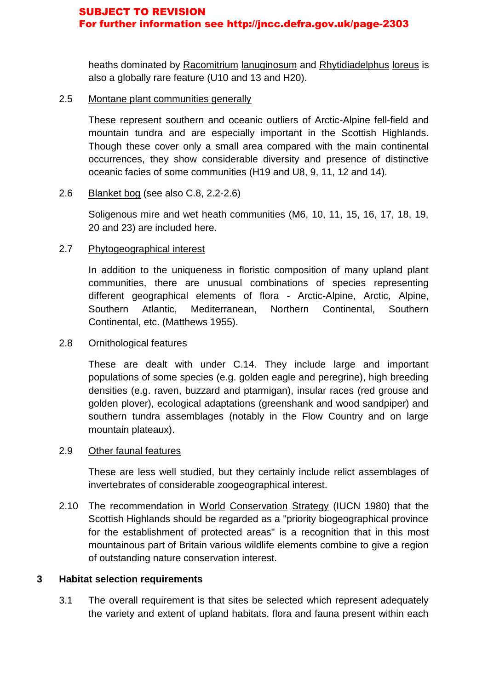heaths dominated by Racomitrium lanuginosum and Rhytidiadelphus loreus is also a globally rare feature (U10 and 13 and H20).

## 2.5 Montane plant communities generally

These represent southern and oceanic outliers of Arctic-Alpine fell-field and mountain tundra and are especially important in the Scottish Highlands. Though these cover only a small area compared with the main continental occurrences, they show considerable diversity and presence of distinctive oceanic facies of some communities (H19 and U8, 9, 11, 12 and 14).

## 2.6 Blanket bog (see also C.8, 2.2-2.6)

Soligenous mire and wet heath communities (M6, 10, 11, 15, 16, 17, 18, 19, 20 and 23) are included here.

## 2.7 Phytogeographical interest

In addition to the uniqueness in floristic composition of many upland plant communities, there are unusual combinations of species representing different geographical elements of flora - Arctic-Alpine, Arctic, Alpine, Southern Atlantic, Mediterranean, Northern Continental, Southern Continental, etc. (Matthews 1955).

## 2.8 Ornithological features

These are dealt with under C.14. They include large and important populations of some species (e.g. golden eagle and peregrine), high breeding densities (e.g. raven, buzzard and ptarmigan), insular races (red grouse and golden plover), ecological adaptations (greenshank and wood sandpiper) and southern tundra assemblages (notably in the Flow Country and on large mountain plateaux).

## 2.9 Other faunal features

These are less well studied, but they certainly include relict assemblages of invertebrates of considerable zoogeographical interest.

2.10 The recommendation in World Conservation Strategy (IUCN 1980) that the Scottish Highlands should be regarded as a "priority biogeographical province for the establishment of protected areas" is a recognition that in this most mountainous part of Britain various wildlife elements combine to give a region of outstanding nature conservation interest.

## **3 Habitat selection requirements**

3.1 The overall requirement is that sites be selected which represent adequately the variety and extent of upland habitats, flora and fauna present within each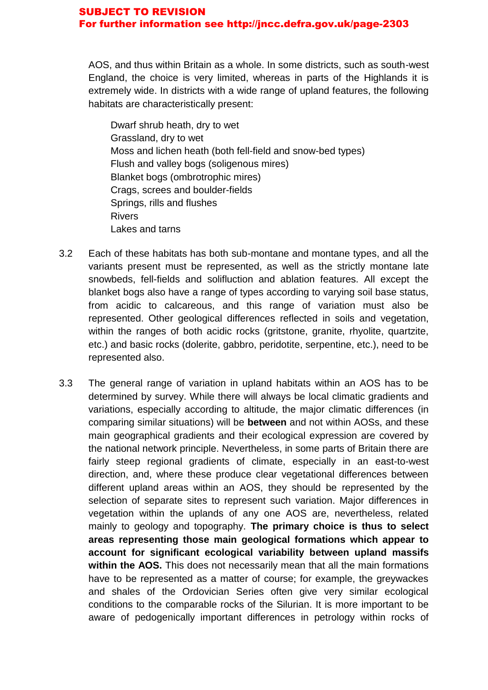AOS, and thus within Britain as a whole. In some districts, such as south-west England, the choice is very limited, whereas in parts of the Highlands it is extremely wide. In districts with a wide range of upland features, the following habitats are characteristically present:

Dwarf shrub heath, dry to wet Grassland, dry to wet Moss and lichen heath (both fell-field and snow-bed types) Flush and valley bogs (soligenous mires) Blanket bogs (ombrotrophic mires) Crags, screes and boulder-fields Springs, rills and flushes Rivers Lakes and tarns

- 3.2 Each of these habitats has both sub-montane and montane types, and all the variants present must be represented, as well as the strictly montane late snowbeds, fell-fields and solifluction and ablation features. All except the blanket bogs also have a range of types according to varying soil base status, from acidic to calcareous, and this range of variation must also be represented. Other geological differences reflected in soils and vegetation, within the ranges of both acidic rocks (gritstone, granite, rhyolite, quartzite, etc.) and basic rocks (dolerite, gabbro, peridotite, serpentine, etc.), need to be represented also.
- 3.3 The general range of variation in upland habitats within an AOS has to be determined by survey. While there will always be local climatic gradients and variations, especially according to altitude, the major climatic differences (in comparing similar situations) will be **between** and not within AOSs, and these main geographical gradients and their ecological expression are covered by the national network principle. Nevertheless, in some parts of Britain there are fairly steep regional gradients of climate, especially in an east-to-west direction, and, where these produce clear vegetational differences between different upland areas within an AOS, they should be represented by the selection of separate sites to represent such variation. Major differences in vegetation within the uplands of any one AOS are, nevertheless, related mainly to geology and topography. **The primary choice is thus to select areas representing those main geological formations which appear to account for significant ecological variability between upland massifs within the AOS.** This does not necessarily mean that all the main formations have to be represented as a matter of course; for example, the greywackes and shales of the Ordovician Series often give very similar ecological conditions to the comparable rocks of the Silurian. It is more important to be aware of pedogenically important differences in petrology within rocks of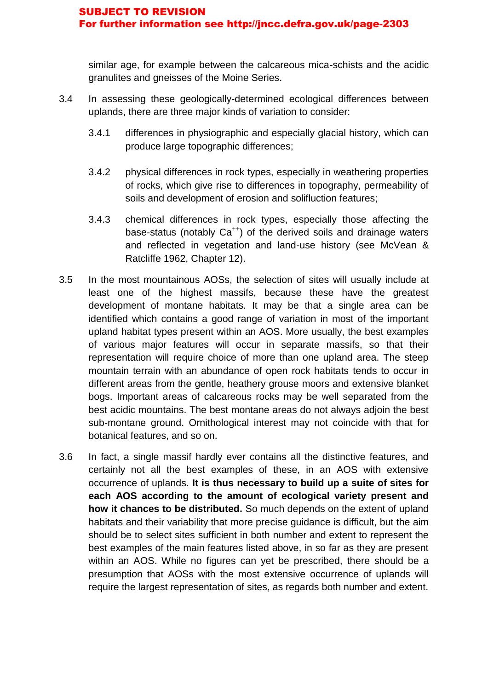similar age, for example between the calcareous mica-schists and the acidic granulites and gneisses of the Moine Series.

- 3.4 In assessing these geologically-determined ecological differences between uplands, there are three major kinds of variation to consider:
	- 3.4.1 differences in physiographic and especially glacial history, which can produce large topographic differences;
	- 3.4.2 physical differences in rock types, especially in weathering properties of rocks, which give rise to differences in topography, permeability of soils and development of erosion and solifluction features;
	- 3.4.3 chemical differences in rock types, especially those affecting the base-status (notably  $Ca^{++}$ ) of the derived soils and drainage waters and reflected in vegetation and land-use history (see McVean & Ratcliffe 1962, Chapter 12).
- 3.5 In the most mountainous AOSs, the selection of sites will usually include at least one of the highest massifs, because these have the greatest development of montane habitats. It may be that a single area can be identified which contains a good range of variation in most of the important upland habitat types present within an AOS. More usually, the best examples of various major features will occur in separate massifs, so that their representation will require choice of more than one upland area. The steep mountain terrain with an abundance of open rock habitats tends to occur in different areas from the gentle, heathery grouse moors and extensive blanket bogs. Important areas of calcareous rocks may be well separated from the best acidic mountains. The best montane areas do not always adjoin the best sub-montane ground. Ornithological interest may not coincide with that for botanical features, and so on.
- 3.6 In fact, a single massif hardly ever contains all the distinctive features, and certainly not all the best examples of these, in an AOS with extensive occurrence of uplands. **It is thus necessary to build up a suite of sites for each AOS according to the amount of ecological variety present and how it chances to be distributed.** So much depends on the extent of upland habitats and their variability that more precise guidance is difficult, but the aim should be to select sites sufficient in both number and extent to represent the best examples of the main features listed above, in so far as they are present within an AOS. While no figures can yet be prescribed, there should be a presumption that AOSs with the most extensive occurrence of uplands will require the largest representation of sites, as regards both number and extent.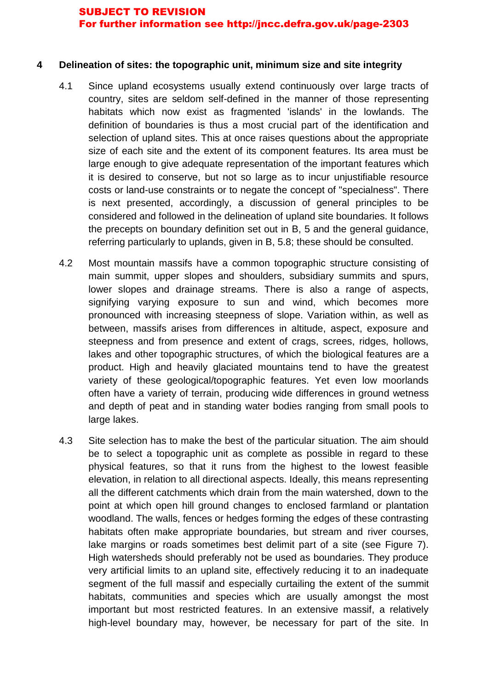#### **4 Delineation of sites: the topographic unit, minimum size and site integrity**

- 4.1 Since upland ecosystems usually extend continuously over large tracts of country, sites are seldom self-defined in the manner of those representing habitats which now exist as fragmented 'islands' in the lowlands. The definition of boundaries is thus a most crucial part of the identification and selection of upland sites. This at once raises questions about the appropriate size of each site and the extent of its component features. Its area must be large enough to give adequate representation of the important features which it is desired to conserve, but not so large as to incur unjustifiable resource costs or land-use constraints or to negate the concept of "specialness". There is next presented, accordingly, a discussion of general principles to be considered and followed in the delineation of upland site boundaries. It follows the precepts on boundary definition set out in B, 5 and the general guidance, referring particularly to uplands, given in B, 5.8; these should be consulted.
- 4.2 Most mountain massifs have a common topographic structure consisting of main summit, upper slopes and shoulders, subsidiary summits and spurs, lower slopes and drainage streams. There is also a range of aspects, signifying varying exposure to sun and wind, which becomes more pronounced with increasing steepness of slope. Variation within, as well as between, massifs arises from differences in altitude, aspect, exposure and steepness and from presence and extent of crags, screes, ridges, hollows, lakes and other topographic structures, of which the biological features are a product. High and heavily glaciated mountains tend to have the greatest variety of these geological/topographic features. Yet even low moorlands often have a variety of terrain, producing wide differences in ground wetness and depth of peat and in standing water bodies ranging from small pools to large lakes.
- 4.3 Site selection has to make the best of the particular situation. The aim should be to select a topographic unit as complete as possible in regard to these physical features, so that it runs from the highest to the lowest feasible elevation, in relation to all directional aspects. Ideally, this means representing all the different catchments which drain from the main watershed, down to the point at which open hill ground changes to enclosed farmland or plantation woodland. The walls, fences or hedges forming the edges of these contrasting habitats often make appropriate boundaries, but stream and river courses, lake margins or roads sometimes best delimit part of a site (see Figure 7). High watersheds should preferably not be used as boundaries. They produce very artificial limits to an upland site, effectively reducing it to an inadequate segment of the full massif and especially curtailing the extent of the summit habitats, communities and species which are usually amongst the most important but most restricted features. In an extensive massif, a relatively high-level boundary may, however, be necessary for part of the site. In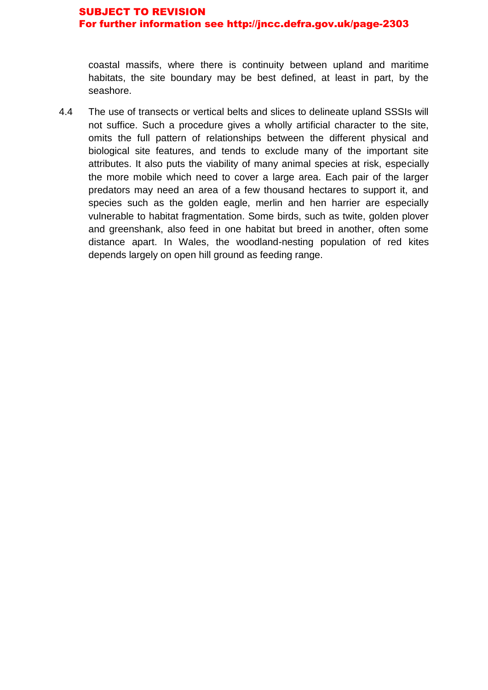coastal massifs, where there is continuity between upland and maritime habitats, the site boundary may be best defined, at least in part, by the seashore.

4.4 The use of transects or vertical belts and slices to delineate upland SSSIs will not suffice. Such a procedure gives a wholly artificial character to the site, omits the full pattern of relationships between the different physical and biological site features, and tends to exclude many of the important site attributes. It also puts the viability of many animal species at risk, especially the more mobile which need to cover a large area. Each pair of the larger predators may need an area of a few thousand hectares to support it, and species such as the golden eagle, merlin and hen harrier are especially vulnerable to habitat fragmentation. Some birds, such as twite, golden plover and greenshank, also feed in one habitat but breed in another, often some distance apart. In Wales, the woodland-nesting population of red kites depends largely on open hill ground as feeding range.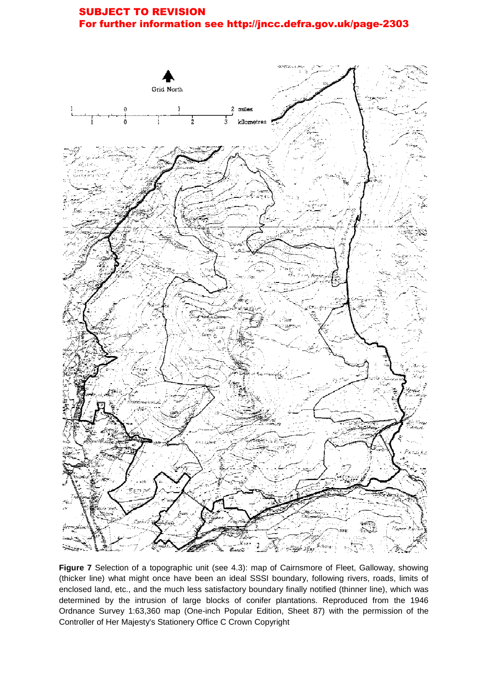

**Figure 7** Selection of a topographic unit (see 4.3): map of Cairnsmore of Fleet, Galloway, showing (thicker line) what might once have been an ideal SSSI boundary, following rivers, roads, limits of enclosed land, etc., and the much less satisfactory boundary finally notified (thinner line), which was determined by the intrusion of large blocks of conifer plantations. Reproduced from the 1946 Ordnance Survey 1:63,360 map (One-inch Popular Edition, Sheet 87) with the permission of the Controller of Her Majesty's Stationery Office C Crown Copyright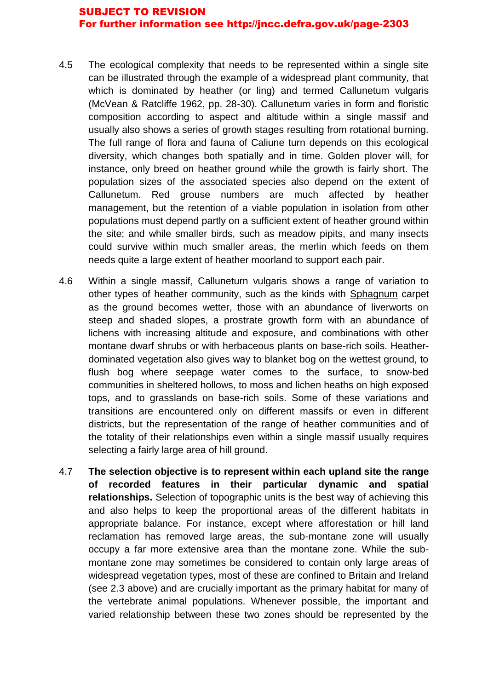- 4.5 The ecological complexity that needs to be represented within a single site can be illustrated through the example of a widespread plant community, that which is dominated by heather (or ling) and termed Callunetum vulgaris (McVean & Ratcliffe 1962, pp. 28-30). Callunetum varies in form and floristic composition according to aspect and altitude within a single massif and usually also shows a series of growth stages resulting from rotational burning. The full range of flora and fauna of Caliune turn depends on this ecological diversity, which changes both spatially and in time. Golden plover will, for instance, only breed on heather ground while the growth is fairly short. The population sizes of the associated species also depend on the extent of Callunetum. Red grouse numbers are much affected by heather management, but the retention of a viable population in isolation from other populations must depend partly on a sufficient extent of heather ground within the site; and while smaller birds, such as meadow pipits, and many insects could survive within much smaller areas, the merlin which feeds on them needs quite a large extent of heather moorland to support each pair.
- 4.6 Within a single massif, Calluneturn vulgaris shows a range of variation to other types of heather community, such as the kinds with Sphagnum carpet as the ground becomes wetter, those with an abundance of liverworts on steep and shaded slopes, a prostrate growth form with an abundance of lichens with increasing altitude and exposure, and combinations with other montane dwarf shrubs or with herbaceous plants on base-rich soils. Heatherdominated vegetation also gives way to blanket bog on the wettest ground, to flush bog where seepage water comes to the surface, to snow-bed communities in sheltered hollows, to moss and lichen heaths on high exposed tops, and to grasslands on base-rich soils. Some of these variations and transitions are encountered only on different massifs or even in different districts, but the representation of the range of heather communities and of the totality of their relationships even within a single massif usually requires selecting a fairly large area of hill ground.
- 4.7 **The selection objective is to represent within each upland site the range of recorded features in their particular dynamic and spatial relationships.** Selection of topographic units is the best way of achieving this and also helps to keep the proportional areas of the different habitats in appropriate balance. For instance, except where afforestation or hill land reclamation has removed large areas, the sub-montane zone will usually occupy a far more extensive area than the montane zone. While the submontane zone may sometimes be considered to contain only large areas of widespread vegetation types, most of these are confined to Britain and Ireland (see 2.3 above) and are crucially important as the primary habitat for many of the vertebrate animal populations. Whenever possible, the important and varied relationship between these two zones should be represented by the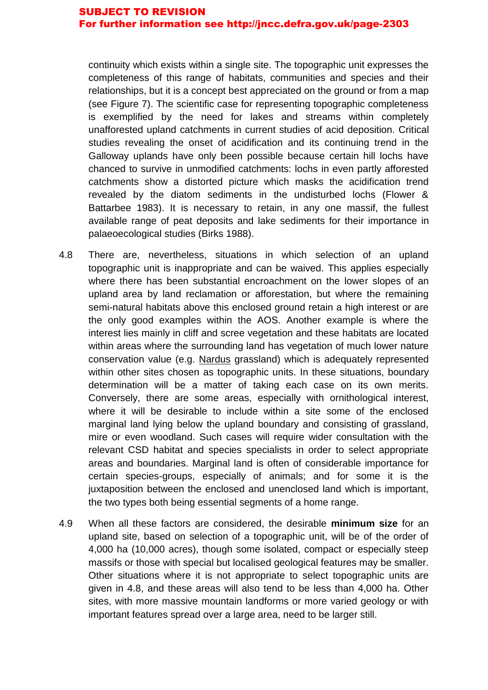continuity which exists within a single site. The topographic unit expresses the completeness of this range of habitats, communities and species and their relationships, but it is a concept best appreciated on the ground or from a map (see Figure 7). The scientific case for representing topographic completeness is exemplified by the need for lakes and streams within completely unafforested upland catchments in current studies of acid deposition. Critical studies revealing the onset of acidification and its continuing trend in the Galloway uplands have only been possible because certain hill lochs have chanced to survive in unmodified catchments: lochs in even partly afforested catchments show a distorted picture which masks the acidification trend revealed by the diatom sediments in the undisturbed lochs (Flower & Battarbee 1983). It is necessary to retain, in any one massif, the fullest available range of peat deposits and lake sediments for their importance in palaeoecological studies (Birks 1988).

- 4.8 There are, nevertheless, situations in which selection of an upland topographic unit is inappropriate and can be waived. This applies especially where there has been substantial encroachment on the lower slopes of an upland area by land reclamation or afforestation, but where the remaining semi-natural habitats above this enclosed ground retain a high interest or are the only good examples within the AOS. Another example is where the interest lies mainly in cliff and scree vegetation and these habitats are located within areas where the surrounding land has vegetation of much lower nature conservation value (e.g. Nardus grassland) which is adequately represented within other sites chosen as topographic units. In these situations, boundary determination will be a matter of taking each case on its own merits. Conversely, there are some areas, especially with ornithological interest, where it will be desirable to include within a site some of the enclosed marginal land lying below the upland boundary and consisting of grassland, mire or even woodland. Such cases will require wider consultation with the relevant CSD habitat and species specialists in order to select appropriate areas and boundaries. Marginal land is often of considerable importance for certain species-groups, especially of animals; and for some it is the juxtaposition between the enclosed and unenclosed land which is important, the two types both being essential segments of a home range.
- 4.9 When all these factors are considered, the desirable **minimum size** for an upland site, based on selection of a topographic unit, will be of the order of 4,000 ha (10,000 acres), though some isolated, compact or especially steep massifs or those with special but localised geological features may be smaller. Other situations where it is not appropriate to select topographic units are given in 4.8, and these areas will also tend to be less than 4,000 ha. Other sites, with more massive mountain landforms or more varied geology or with important features spread over a large area, need to be larger still.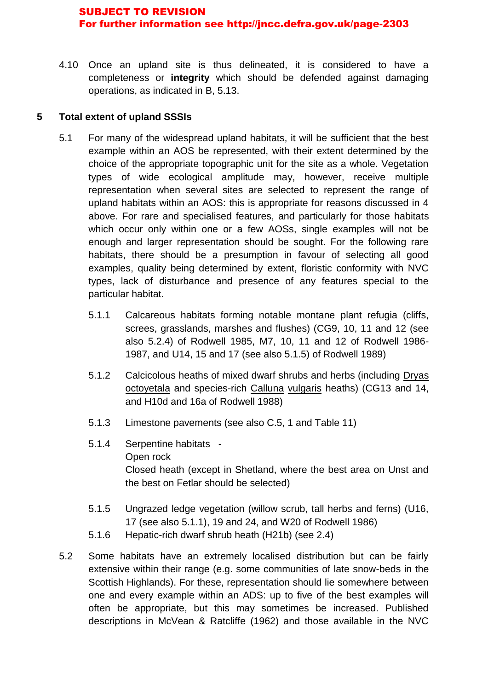4.10 Once an upland site is thus delineated, it is considered to have a completeness or **integrity** which should be defended against damaging operations, as indicated in B, 5.13.

## **5 Total extent of upland SSSIs**

- 5.1 For many of the widespread upland habitats, it will be sufficient that the best example within an AOS be represented, with their extent determined by the choice of the appropriate topographic unit for the site as a whole. Vegetation types of wide ecological amplitude may, however, receive multiple representation when several sites are selected to represent the range of upland habitats within an AOS: this is appropriate for reasons discussed in 4 above. For rare and specialised features, and particularly for those habitats which occur only within one or a few AOSs, single examples will not be enough and larger representation should be sought. For the following rare habitats, there should be a presumption in favour of selecting all good examples, quality being determined by extent, floristic conformity with NVC types, lack of disturbance and presence of any features special to the particular habitat.
	- 5.1.1 Calcareous habitats forming notable montane plant refugia (cliffs, screes, grasslands, marshes and flushes) (CG9, 10, 11 and 12 (see also 5.2.4) of Rodwell 1985, M7, 10, 11 and 12 of Rodwell 1986- 1987, and U14, 15 and 17 (see also 5.1.5) of Rodwell 1989)
	- 5.1.2 Calcicolous heaths of mixed dwarf shrubs and herbs (including Dryas octoyetala and species-rich Calluna vulgaris heaths) (CG13 and 14, and H10d and 16a of Rodwell 1988)
	- 5.1.3 Limestone pavements (see also C.5, 1 and Table 11)
	- 5.1.4 Serpentine habitats Open rock Closed heath (except in Shetland, where the best area on Unst and the best on Fetlar should be selected)
	- 5.1.5 Ungrazed ledge vegetation (willow scrub, tall herbs and ferns) (U16, 17 (see also 5.1.1), 19 and 24, and W20 of Rodwell 1986)
	- 5.1.6 Hepatic-rich dwarf shrub heath (H21b) (see 2.4)
- 5.2 Some habitats have an extremely localised distribution but can be fairly extensive within their range (e.g. some communities of late snow-beds in the Scottish Highlands). For these, representation should lie somewhere between one and every example within an ADS: up to five of the best examples will often be appropriate, but this may sometimes be increased. Published descriptions in McVean & Ratcliffe (1962) and those available in the NVC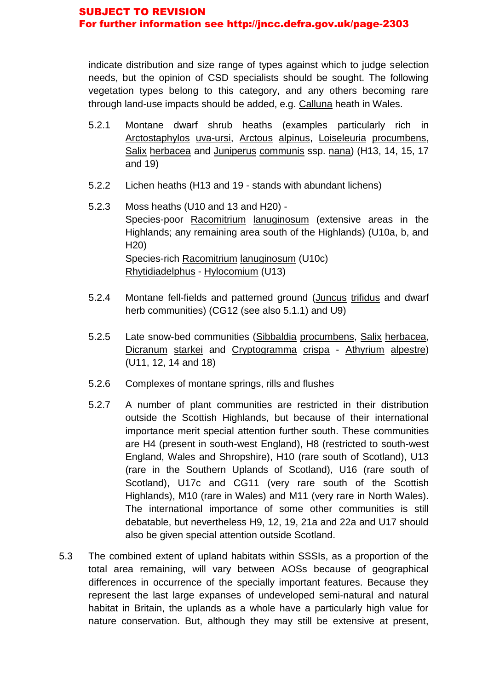indicate distribution and size range of types against which to judge selection needs, but the opinion of CSD specialists should be sought. The following vegetation types belong to this category, and any others becoming rare through land-use impacts should be added, e.g. Calluna heath in Wales.

- 5.2.1 Montane dwarf shrub heaths (examples particularly rich in Arctostaphylos uva-ursi, Arctous alpinus, Loiseleuria procumbens, Salix herbacea and Juniperus communis ssp. nana) (H13, 14, 15, 17 and 19)
- 5.2.2 Lichen heaths (H13 and 19 stands with abundant lichens)
- 5.2.3 Moss heaths (U10 and 13 and H20) Species-poor Racomitrium lanuginosum (extensive areas in the Highlands; any remaining area south of the Highlands) (U10a, b, and H20) Species-rich Racomitrium lanuginosum (U10c) Rhytidiadelphus - Hylocomium (U13)
- 5.2.4 Montane fell-fields and patterned ground (Juncus trifidus and dwarf herb communities) (CG12 (see also 5.1.1) and U9)
- 5.2.5 Late snow-bed communities (Sibbaldia procumbens, Salix herbacea, Dicranum starkei and Cryptogramma crispa - Athyrium alpestre) (U11, 12, 14 and 18)
- 5.2.6 Complexes of montane springs, rills and flushes
- 5.2.7 A number of plant communities are restricted in their distribution outside the Scottish Highlands, but because of their international importance merit special attention further south. These communities are H4 (present in south-west England), H8 (restricted to south-west England, Wales and Shropshire), H10 (rare south of Scotland), U13 (rare in the Southern Uplands of Scotland), U16 (rare south of Scotland), U17c and CG11 (very rare south of the Scottish Highlands), M10 (rare in Wales) and M11 (very rare in North Wales). The international importance of some other communities is still debatable, but nevertheless H9, 12, 19, 21a and 22a and U17 should also be given special attention outside Scotland.
- 5.3 The combined extent of upland habitats within SSSIs, as a proportion of the total area remaining, will vary between AOSs because of geographical differences in occurrence of the specially important features. Because they represent the last large expanses of undeveloped semi-natural and natural habitat in Britain, the uplands as a whole have a particularly high value for nature conservation. But, although they may still be extensive at present,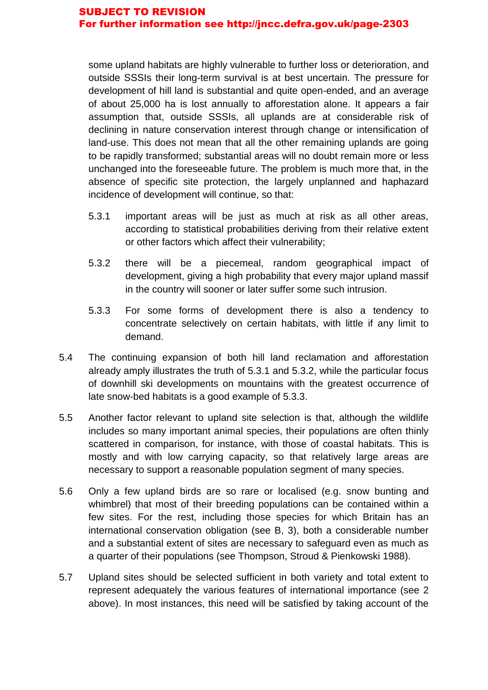some upland habitats are highly vulnerable to further loss or deterioration, and outside SSSIs their long-term survival is at best uncertain. The pressure for development of hill land is substantial and quite open-ended, and an average of about 25,000 ha is lost annually to afforestation alone. It appears a fair assumption that, outside SSSIs, all uplands are at considerable risk of declining in nature conservation interest through change or intensification of land-use. This does not mean that all the other remaining uplands are going to be rapidly transformed; substantial areas will no doubt remain more or less unchanged into the foreseeable future. The problem is much more that, in the absence of specific site protection, the largely unplanned and haphazard incidence of development will continue, so that:

- 5.3.1 important areas will be just as much at risk as all other areas, according to statistical probabilities deriving from their relative extent or other factors which affect their vulnerability;
- 5.3.2 there will be a piecemeal, random geographical impact of development, giving a high probability that every major upland massif in the country will sooner or later suffer some such intrusion.
- 5.3.3 For some forms of development there is also a tendency to concentrate selectively on certain habitats, with little if any limit to demand.
- 5.4 The continuing expansion of both hill land reclamation and afforestation already amply illustrates the truth of 5.3.1 and 5.3.2, while the particular focus of downhill ski developments on mountains with the greatest occurrence of late snow-bed habitats is a good example of 5.3.3.
- 5.5 Another factor relevant to upland site selection is that, although the wildlife includes so many important animal species, their populations are often thinly scattered in comparison, for instance, with those of coastal habitats. This is mostly and with low carrying capacity, so that relatively large areas are necessary to support a reasonable population segment of many species.
- 5.6 Only a few upland birds are so rare or localised (e.g. snow bunting and whimbrel) that most of their breeding populations can be contained within a few sites. For the rest, including those species for which Britain has an international conservation obligation (see B, 3), both a considerable number and a substantial extent of sites are necessary to safeguard even as much as a quarter of their populations (see Thompson, Stroud & Pienkowski 1988).
- 5.7 Upland sites should be selected sufficient in both variety and total extent to represent adequately the various features of international importance (see 2 above). In most instances, this need will be satisfied by taking account of the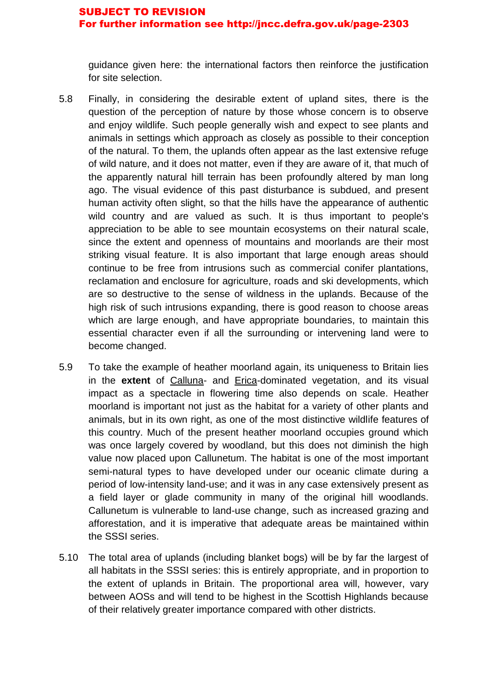guidance given here: the international factors then reinforce the justification for site selection.

- 5.8 Finally, in considering the desirable extent of upland sites, there is the question of the perception of nature by those whose concern is to observe and enjoy wildlife. Such people generally wish and expect to see plants and animals in settings which approach as closely as possible to their conception of the natural. To them, the uplands often appear as the last extensive refuge of wild nature, and it does not matter, even if they are aware of it, that much of the apparently natural hill terrain has been profoundly altered by man long ago. The visual evidence of this past disturbance is subdued, and present human activity often slight, so that the hills have the appearance of authentic wild country and are valued as such. It is thus important to people's appreciation to be able to see mountain ecosystems on their natural scale, since the extent and openness of mountains and moorlands are their most striking visual feature. It is also important that large enough areas should continue to be free from intrusions such as commercial conifer plantations, reclamation and enclosure for agriculture, roads and ski developments, which are so destructive to the sense of wildness in the uplands. Because of the high risk of such intrusions expanding, there is good reason to choose areas which are large enough, and have appropriate boundaries, to maintain this essential character even if all the surrounding or intervening land were to become changed.
- 5.9 To take the example of heather moorland again, its uniqueness to Britain lies in the **extent** of Calluna- and Erica-dominated vegetation, and its visual impact as a spectacle in flowering time also depends on scale. Heather moorland is important not just as the habitat for a variety of other plants and animals, but in its own right, as one of the most distinctive wildlife features of this country. Much of the present heather moorland occupies ground which was once largely covered by woodland, but this does not diminish the high value now placed upon Callunetum. The habitat is one of the most important semi-natural types to have developed under our oceanic climate during a period of low-intensity land-use; and it was in any case extensively present as a field layer or glade community in many of the original hill woodlands. Callunetum is vulnerable to land-use change, such as increased grazing and afforestation, and it is imperative that adequate areas be maintained within the SSSI series.
- 5.10 The total area of uplands (including blanket bogs) will be by far the largest of all habitats in the SSSI series: this is entirely appropriate, and in proportion to the extent of uplands in Britain. The proportional area will, however, vary between AOSs and will tend to be highest in the Scottish Highlands because of their relatively greater importance compared with other districts.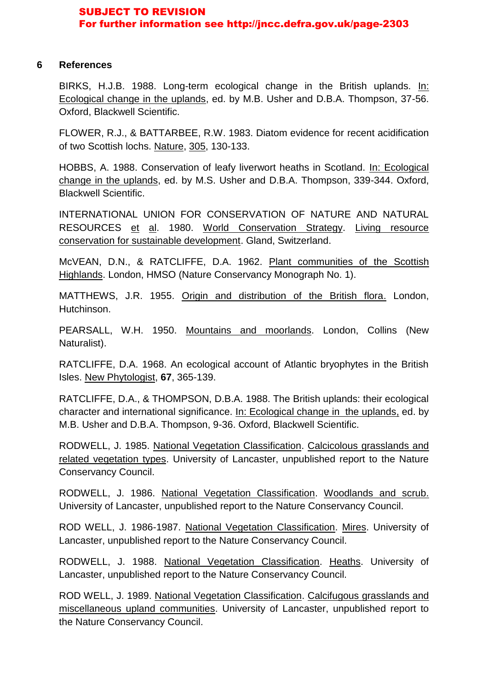#### **6 References**

BIRKS, H.J.B. 1988. Long-term ecological change in the British uplands. In: Ecological change in the uplands, ed. by M.B. Usher and D.B.A. Thompson, 37-56. Oxford, Blackwell Scientific.

FLOWER, R.J., & BATTARBEE, R.W. 1983. Diatom evidence for recent acidification of two Scottish lochs. Nature, 305, 130-133.

HOBBS, A. 1988. Conservation of leafy liverwort heaths in Scotland. In: Ecological change in the uplands, ed. by M.S. Usher and D.B.A. Thompson, 339-344. Oxford, Blackwell Scientific.

INTERNATIONAL UNION FOR CONSERVATION OF NATURE AND NATURAL RESOURCES et al. 1980. World Conservation Strategy. Living resource conservation for sustainable development. Gland, Switzerland.

McVEAN, D.N., & RATCLIFFE, D.A. 1962. Plant communities of the Scottish Highlands. London, HMSO (Nature Conservancy Monograph No. 1).

MATTHEWS, J.R. 1955. Origin and distribution of the British flora. London, Hutchinson.

PEARSALL, W.H. 1950. Mountains and moorlands. London, Collins (New Naturalist).

RATCLIFFE, D.A. 1968. An ecological account of Atlantic bryophytes in the British Isles. New Phytologist, **67**, 365-139.

RATCLIFFE, D.A., & THOMPSON, D.B.A. 1988. The British uplands: their ecological character and international significance. In: Ecological change in the uplands, ed. by M.B. Usher and D.B.A. Thompson, 9-36. Oxford, Blackwell Scientific.

RODWELL, J. 1985. National Vegetation Classification. Calcicolous grasslands and related vegetation types. University of Lancaster, unpublished report to the Nature Conservancy Council.

RODWELL, J. 1986. National Vegetation Classification. Woodlands and scrub. University of Lancaster, unpublished report to the Nature Conservancy Council.

ROD WELL, J. 1986-1987. National Vegetation Classification. Mires. University of Lancaster, unpublished report to the Nature Conservancy Council.

RODWELL, J. 1988. National Vegetation Classification. Heaths. University of Lancaster, unpublished report to the Nature Conservancy Council.

ROD WELL, J. 1989. National Vegetation Classification. Calcifugous grasslands and miscellaneous upland communities. University of Lancaster, unpublished report to the Nature Conservancy Council.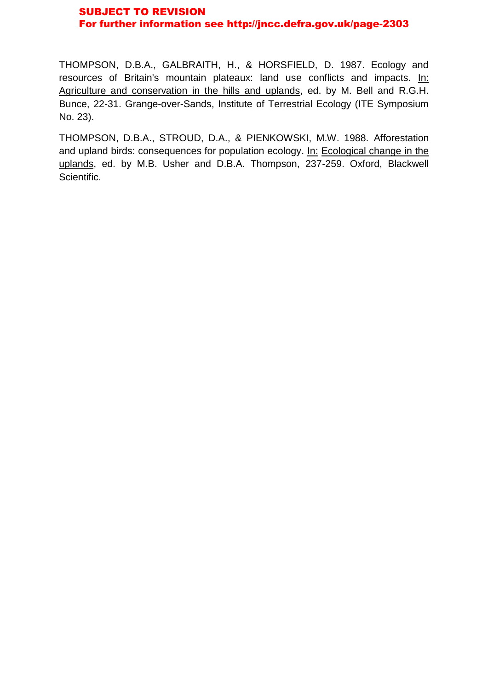THOMPSON, D.B.A., GALBRAITH, H., & HORSFIELD, D. 1987. Ecology and resources of Britain's mountain plateaux: land use conflicts and impacts. In: Agriculture and conservation in the hills and uplands, ed. by M. Bell and R.G.H. Bunce, 22-31. Grange-over-Sands, Institute of Terrestrial Ecology (ITE Symposium No. 23).

THOMPSON, D.B.A., STROUD, D.A., & PIENKOWSKI, M.W. 1988. Afforestation and upland birds: consequences for population ecology. In: Ecological change in the uplands, ed. by M.B. Usher and D.B.A. Thompson, 237-259. Oxford, Blackwell Scientific.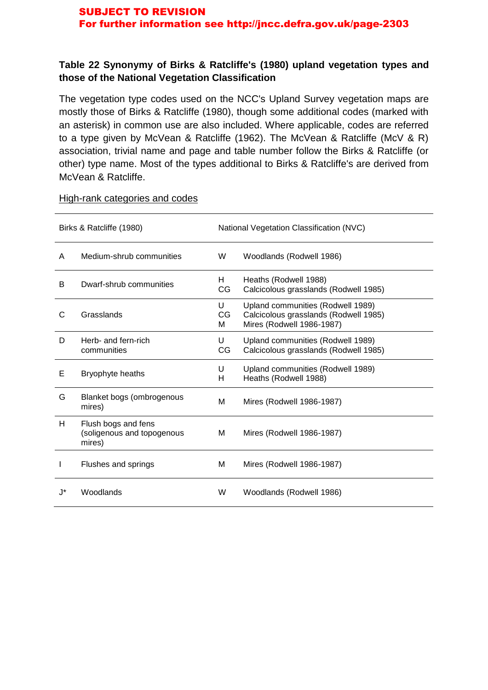## **Table 22 Synonymy of Birks & Ratcliffe's (1980) upland vegetation types and those of the National Vegetation Classification**

The vegetation type codes used on the NCC's Upland Survey vegetation maps are mostly those of Birks & Ratcliffe (1980), though some additional codes (marked with an asterisk) in common use are also included. Where applicable, codes are referred to a type given by McVean & Ratcliffe (1962). The McVean & Ratcliffe (McV & R) association, trivial name and page and table number follow the Birks & Ratcliffe (or other) type name. Most of the types additional to Birks & Ratcliffe's are derived from McVean & Ratcliffe.

| Birks & Ratcliffe (1980) |                                                             |              | National Vegetation Classification (NVC)                                                                |  |  |
|--------------------------|-------------------------------------------------------------|--------------|---------------------------------------------------------------------------------------------------------|--|--|
| A                        | Medium-shrub communities                                    | W            | Woodlands (Rodwell 1986)                                                                                |  |  |
| B                        | Dwarf-shrub communities                                     | H.<br>CG     | Heaths (Rodwell 1988)<br>Calcicolous grasslands (Rodwell 1985)                                          |  |  |
| C                        | Grasslands                                                  | U<br>CG<br>м | Upland communities (Rodwell 1989)<br>Calcicolous grasslands (Rodwell 1985)<br>Mires (Rodwell 1986-1987) |  |  |
| D                        | Herb- and fern-rich<br>communities                          | U<br>CG      | Upland communities (Rodwell 1989)<br>Calcicolous grasslands (Rodwell 1985)                              |  |  |
| Е                        | Bryophyte heaths                                            | U<br>H       | Upland communities (Rodwell 1989)<br>Heaths (Rodwell 1988)                                              |  |  |
| G                        | Blanket bogs (ombrogenous<br>mires)                         | М            | Mires (Rodwell 1986-1987)                                                                               |  |  |
| H                        | Flush bogs and fens<br>(soligenous and topogenous<br>mires) | м            | Mires (Rodwell 1986-1987)                                                                               |  |  |
|                          | Flushes and springs                                         | м            | Mires (Rodwell 1986-1987)                                                                               |  |  |
| *ا.                      | Woodlands                                                   | W            | Woodlands (Rodwell 1986)                                                                                |  |  |

## High-rank categories and codes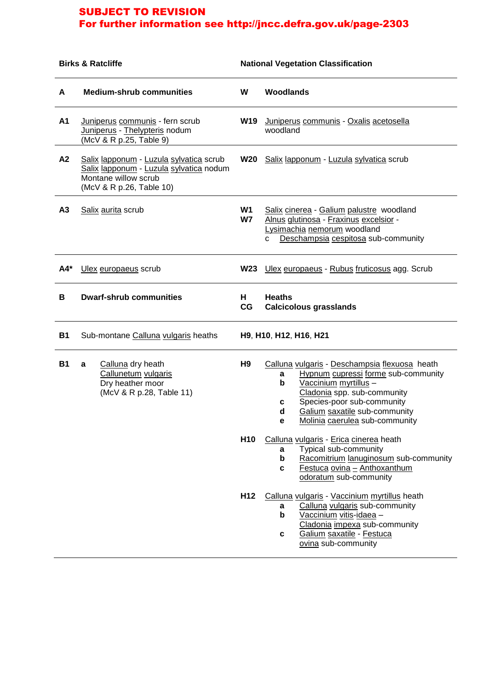| <b>Birks &amp; Ratcliffe</b> |                                                                                                                                        |                                                                                                                                                                           | <b>National Vegetation Classification</b>                                                                                                                                                                                                                                                                                                                                                                                                                   |  |  |  |
|------------------------------|----------------------------------------------------------------------------------------------------------------------------------------|---------------------------------------------------------------------------------------------------------------------------------------------------------------------------|-------------------------------------------------------------------------------------------------------------------------------------------------------------------------------------------------------------------------------------------------------------------------------------------------------------------------------------------------------------------------------------------------------------------------------------------------------------|--|--|--|
| A                            | <b>Medium-shrub communities</b>                                                                                                        | W                                                                                                                                                                         | <b>Woodlands</b>                                                                                                                                                                                                                                                                                                                                                                                                                                            |  |  |  |
| A1                           | Juniperus communis - fern scrub<br>Juniperus - Thelypteris nodum<br>(McV & R p.25, Table 9)                                            | W19                                                                                                                                                                       | Juniperus communis - Oxalis acetosella<br>woodland                                                                                                                                                                                                                                                                                                                                                                                                          |  |  |  |
| A2                           | Salix lapponum - Luzula sylvatica scrub<br>Salix lapponum - Luzula sylvatica nodum<br>Montane willow scrub<br>(McV & R p.26, Table 10) | <b>W20</b>                                                                                                                                                                | Salix lapponum - Luzula sylvatica scrub                                                                                                                                                                                                                                                                                                                                                                                                                     |  |  |  |
| A3                           | Salix aurita scrub                                                                                                                     | W1<br>Salix cinerea - Galium palustre woodland<br>W7<br>Alnus glutinosa - Fraxinus excelsior -<br>Lysimachia nemorum woodland<br>Deschampsia cespitosa sub-community<br>C |                                                                                                                                                                                                                                                                                                                                                                                                                                                             |  |  |  |
| A4*                          | Ulex europaeus scrub                                                                                                                   | <b>W23</b>                                                                                                                                                                | Ulex europaeus - Rubus fruticosus agg. Scrub                                                                                                                                                                                                                                                                                                                                                                                                                |  |  |  |
| В                            | <b>Dwarf-shrub communities</b>                                                                                                         |                                                                                                                                                                           | <b>Heaths</b><br><b>Calcicolous grasslands</b>                                                                                                                                                                                                                                                                                                                                                                                                              |  |  |  |
| <b>B1</b>                    | Sub-montane Calluna vulgaris heaths                                                                                                    |                                                                                                                                                                           | H9, H10, H12, H16, H21                                                                                                                                                                                                                                                                                                                                                                                                                                      |  |  |  |
| <b>B1</b>                    | Calluna dry heath<br>a<br>Callunetum vulgaris<br>Dry heather moor<br>(McV & R p.28, Table 11)                                          | H9<br>H <sub>10</sub>                                                                                                                                                     | Calluna vulgaris - Deschampsia flexuosa heath<br>Hypnum cupressi forme sub-community<br>a<br>Vaccinium myrtillus -<br>b<br>Cladonia spp. sub-community<br>Species-poor sub-community<br>c<br>Galium saxatile sub-community<br>d<br>Molinia caerulea sub-community<br>е<br>Calluna vulgaris - Erica cinerea heath<br>Typical sub-community<br>a<br>b<br>Racomitrium lanuginosum sub-community<br>Festuca ovina - Anthoxanthum<br>C<br>odoratum sub-community |  |  |  |
|                              |                                                                                                                                        | H <sub>12</sub>                                                                                                                                                           | Calluna vulgaris - Vaccinium myrtillus heath<br>Calluna vulgaris sub-community<br>a<br>b<br>Vaccinium vitis-idaea -<br>Cladonia impexa sub-community<br>Galium saxatile - Festuca<br>C<br>ovina sub-community                                                                                                                                                                                                                                               |  |  |  |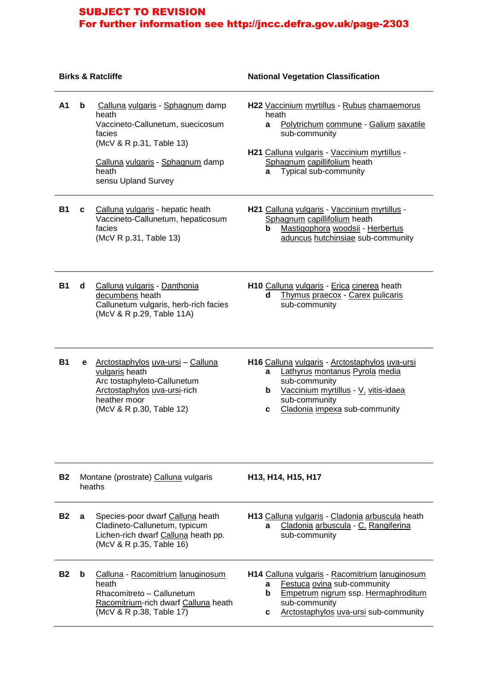|           |   | <b>Birks &amp; Ratcliffe</b>                                                                                                                                                            | <b>National Vegetation Classification</b>                                                                                                                                                                                         |  |  |  |
|-----------|---|-----------------------------------------------------------------------------------------------------------------------------------------------------------------------------------------|-----------------------------------------------------------------------------------------------------------------------------------------------------------------------------------------------------------------------------------|--|--|--|
| A1        | b | Calluna vulgaris - Sphagnum damp<br>heath<br>Vaccineto-Callunetum, suecicosum<br>facies<br>(McV & R p.31, Table 13)<br>Calluna vulgaris - Sphagnum damp<br>heath<br>sensu Upland Survey | H22 Vaccinium myrtillus - Rubus chamaemorus<br>heath<br>Polytrichum commune - Galium saxatile<br>a<br>sub-community<br>H21 Calluna vulgaris - Vaccinium myrtillus -<br>Sphagnum capillifolium heath<br>Typical sub-community<br>a |  |  |  |
| <b>B1</b> | c | Calluna vulgaris - hepatic heath<br>Vaccineto-Callunetum, hepaticosum<br>facies<br>(McV R p.31, Table 13)                                                                               | H21 Calluna vulgaris - Vaccinium myrtillus -<br>Sphagnum capillifolium heath<br>Mastigophora woodsii - Herbertus<br>b<br>aduncus hutchinsiae sub-community                                                                        |  |  |  |
| <b>B1</b> | d | Calluna vulgaris - Danthonia<br>decumbens heath<br>Callunetum vulgaris, herb-rich facies<br>(McV & R p.29, Table 11A)                                                                   | H10 Calluna vulgaris - Erica cinerea heath<br>Thymus praecox - Carex pulicaris<br>d<br>sub-community                                                                                                                              |  |  |  |
| <b>B1</b> | е | Arctostaphylos uva-ursi - Calluna<br>vulgaris heath<br>Arc tostaphyleto-Callunetum<br>Arctostaphylos uva-ursi-rich<br>heather moor<br>(McV & R p.30, Table 12)                          | H16 Calluna vulgaris - Arctostaphylos uva-ursi<br>Lathyrus montanus Pyrola media<br>a<br>sub-community<br>Vaccinium myrtillus - V. vitis-idaea<br>b<br>sub-community<br>Cladonia impexa sub-community<br>с                        |  |  |  |
| <b>B2</b> |   | Montane (prostrate) Calluna vulgaris<br>heaths                                                                                                                                          | H <sub>13</sub> , H <sub>14</sub> , H <sub>15</sub> , H <sub>17</sub>                                                                                                                                                             |  |  |  |
| <b>B2</b> | a | Species-poor dwarf Calluna heath<br>Cladineto-Callunetum, typicum<br>Lichen-rich dwarf Calluna heath pp.<br>(McV & R p.35, Table 16)                                                    | H13 Calluna vulgaris - Cladonia arbuscula heath<br>Cladonia arbuscula - C. Rangiferina<br>a<br>sub-community                                                                                                                      |  |  |  |
| <b>B2</b> | b | Calluna - Racomitrium lanuginosum<br>heath<br>Rhacomitreto - Callunetum<br>Racomitrium-rich dwarf Calluna heath<br>(McV & R p.38, Table 17)                                             | H14 Calluna vulgaris - Racomitrium lanuginosum<br>Festuca ovina sub-community<br>a<br>Empetrum nigrum ssp. Hermaphroditum<br>b<br>sub-community<br>Arctostaphylos uva-ursi sub-community<br>c                                     |  |  |  |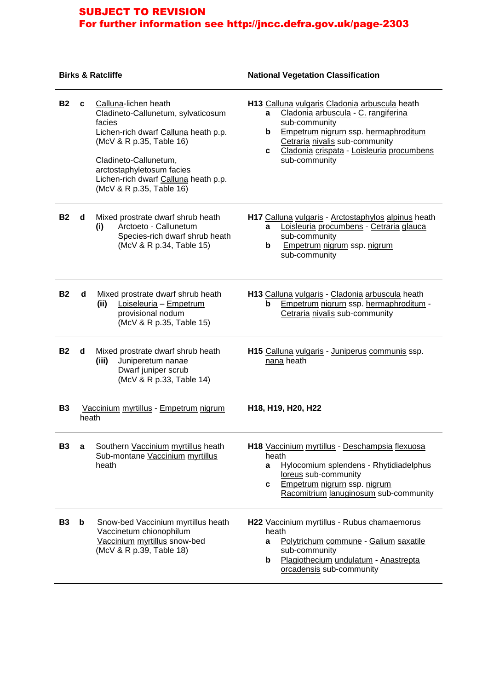#### **Birks & Ratcliffe National Vegetation Classification**

| <b>B2</b> | c     | Calluna-lichen heath<br>Cladineto-Callunetum, sylvaticosum<br>facies<br>Lichen-rich dwarf Calluna heath p.p.<br>(McV & R p.35, Table 16)<br>Cladineto-Callunetum,<br>arctostaphyletosum facies<br>Lichen-rich dwarf Calluna heath p.p.<br>(McV & R p.35, Table 16) | H13 Calluna vulgaris Cladonia arbuscula heath<br>Cladonia arbuscula - C. rangiferina<br>a<br>sub-community<br>Empetrum nigrurn ssp. hermaphroditum<br>b<br>Cetraria nivalis sub-community<br>Cladonia crispata - Loisleuria procumbens<br>C.<br>sub-community |  |
|-----------|-------|--------------------------------------------------------------------------------------------------------------------------------------------------------------------------------------------------------------------------------------------------------------------|---------------------------------------------------------------------------------------------------------------------------------------------------------------------------------------------------------------------------------------------------------------|--|
| <b>B2</b> | d     | Mixed prostrate dwarf shrub heath<br>Arctoeto - Callunetum<br>(i)<br>Species-rich dwarf shrub heath<br>(McV & R p.34, Table 15)                                                                                                                                    | H17 Calluna vulgaris - Arctostaphylos alpinus heath<br>Loisleuria procumbens - Cetraria glauca<br>a<br>sub-community<br>Empetrum nigrum ssp. nigrum<br>b<br>sub-community                                                                                     |  |
| <b>B2</b> | d     | Mixed prostrate dwarf shrub heath<br>Loiseleuria - Empetrum<br>(ii)<br>provisional nodum<br>(McV & R p.35, Table 15)                                                                                                                                               | H13 Calluna vulgaris - Cladonia arbuscula heath<br>Empetrum nigrurn ssp. hermaphroditum -<br>b<br>Cetraria nivalis sub-community                                                                                                                              |  |
| <b>B2</b> | d     | Mixed prostrate dwarf shrub heath<br>Juniperetum nanae<br>(iii)<br>Dwarf juniper scrub<br>(McV & R p.33, Table 14)                                                                                                                                                 | H15 Calluna vulgaris - Juniperus communis ssp.<br>nana heath                                                                                                                                                                                                  |  |
| <b>B3</b> | heath | Vaccinium myrtillus - Empetrum nigrum                                                                                                                                                                                                                              | H <sub>18</sub> , H <sub>19</sub> , H <sub>20</sub> , H <sub>22</sub>                                                                                                                                                                                         |  |
| <b>B3</b> | a     | Southern Vaccinium myrtillus heath<br>Sub-montane Vaccinium myrtillus<br>heath                                                                                                                                                                                     | H18 Vaccinium myrtillus - Deschampsia flexuosa<br>heath<br>Hylocomium splendens - Rhytidiadelphus<br>а<br>loreus sub-community<br>Empetrum nigrurn ssp. nigrum<br>C<br>Racomitrium lanuginosum sub-community                                                  |  |
| <b>B3</b> | b     | Snow-bed Vaccinium myrtillus heath<br>Vaccinetum chionophilum<br>Vaccinium myrtillus snow-bed<br>(McV & R p.39, Table 18)                                                                                                                                          | H22 Vaccinium myrtillus - Rubus chamaemorus<br>heath<br>Polytrichum commune - Galium saxatile<br>a<br>sub-community<br>Plagiothecium undulatum - Anastrepta<br>b<br>orcadensis sub-community                                                                  |  |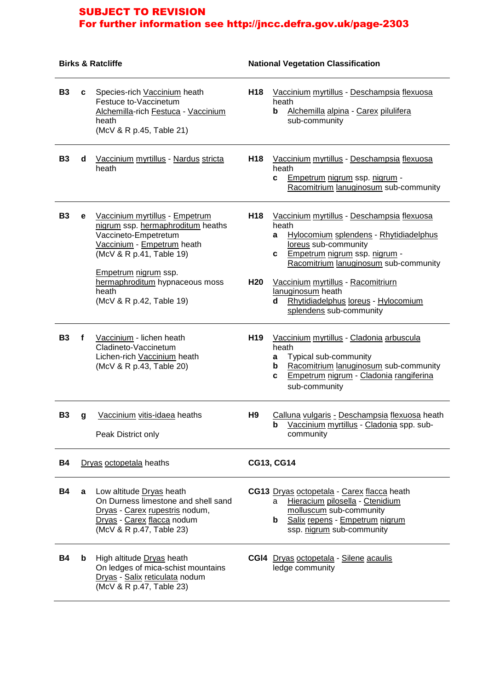|           | <b>Birks &amp; Ratcliffe</b> |                                                                                                                                                                                                                                                      | <b>National Vegetation Classification</b> |                                                                                                                                                                                                                                                                                                                                             |  |
|-----------|------------------------------|------------------------------------------------------------------------------------------------------------------------------------------------------------------------------------------------------------------------------------------------------|-------------------------------------------|---------------------------------------------------------------------------------------------------------------------------------------------------------------------------------------------------------------------------------------------------------------------------------------------------------------------------------------------|--|
| <b>B3</b> | C                            | Species-rich Vaccinium heath<br>Festuce to-Vaccinetum<br>Alchemilla-rich Festuca - Vaccinium<br>heath<br>(McV & R p.45, Table 21)                                                                                                                    | H <sub>18</sub>                           | Vaccinium myrtillus - Deschampsia flexuosa<br>heath<br>Alchemilla alpina - Carex pilulifera<br>b<br>sub-community                                                                                                                                                                                                                           |  |
| <b>B3</b> | d                            | Vaccinium myrtillus - Nardus stricta<br>heath                                                                                                                                                                                                        | H <sub>18</sub>                           | Vaccinium myrtillus - Deschampsia flexuosa<br>heath<br>Empetrum nigrum ssp. nigrum -<br>c<br>Racomitrium lanuginosum sub-community                                                                                                                                                                                                          |  |
| <b>B3</b> | e                            | Vaccinium myrtillus - Empetrum<br>nigrum ssp. hermaphroditum heaths<br>Vaccineto-Empetretum<br>Vaccinium - Empetrum heath<br>(McV & R p.41, Table 19)<br>Empetrum nigrum ssp.<br>hermaphroditum hypnaceous moss<br>heath<br>(McV & R p.42, Table 19) | H <sub>18</sub><br>H <sub>20</sub>        | Vaccinium myrtillus - Deschampsia flexuosa<br>heath<br>Hylocomium splendens - Rhytidiadelphus<br>a<br>loreus sub-community<br>Empetrum nigrum ssp. nigrum -<br>c<br>Racomitrium lanuginosum sub-community<br>Vaccinium myrtillus - Racomitriurn<br>lanuginosum heath<br>Rhytidiadelphus loreus - Hylocomium<br>d<br>splendens sub-community |  |
| <b>B3</b> | f                            | Vaccinium - lichen heath<br>Cladineto-Vaccinetum<br>Lichen-rich Vaccinium heath<br>(McV & R p.43, Table 20)                                                                                                                                          | H <sub>19</sub>                           | Vaccinium myrtillus - Cladonia arbuscula<br>heath<br>Typical sub-community<br>a<br>Racomitrium lanuginosum sub-community<br>b<br>Empetrum nigrum - Cladonia rangiferina<br>C<br>sub-community                                                                                                                                               |  |
| <b>B3</b> | g                            | Vaccinium vitis-idaea heaths<br>Peak District only                                                                                                                                                                                                   | H <sub>9</sub>                            | Calluna vulgaris - Deschampsia flexuosa heath<br>b Vaccinium myrtillus - Cladonia spp. sub-<br>community                                                                                                                                                                                                                                    |  |
| <b>B4</b> |                              | Dryas octopetala heaths                                                                                                                                                                                                                              |                                           | <b>CG13, CG14</b>                                                                                                                                                                                                                                                                                                                           |  |
| <b>B4</b> | a                            | Low altitude Dryas heath<br>On Durness limestone and shell sand<br>Dryas - Carex rupestris nodum,<br>Dryas - Carex flacca nodum<br>(McV & R p.47, Table 23)                                                                                          |                                           | CG13 Dryas octopetala - Carex flacca heath<br>Hieracium pilosella - Ctenidium<br>a<br>molluscum sub-community<br><b>b</b> Salix repens - Empetrum nigrum<br>ssp. nigrum sub-community                                                                                                                                                       |  |
| <b>B4</b> | b                            | High altitude Dryas heath<br>On ledges of mica-schist mountains<br>Dryas - Salix reticulata nodum<br>(McV & R p.47, Table 23)                                                                                                                        |                                           | CGI4 Dryas octopetala - Silene acaulis<br>ledge community                                                                                                                                                                                                                                                                                   |  |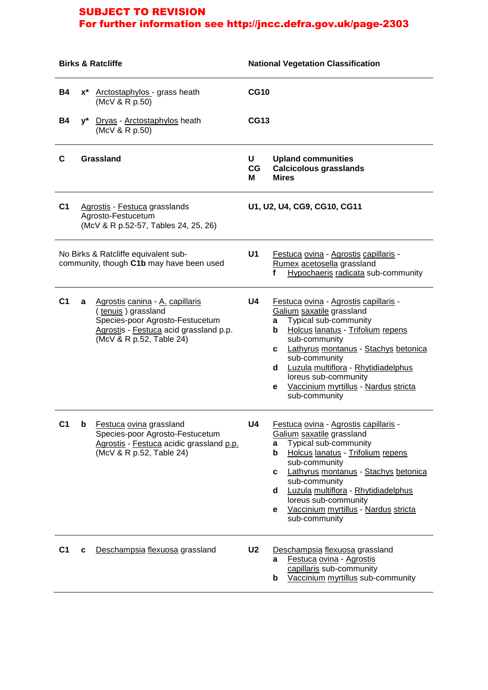| <b>Birks &amp; Ratcliffe</b>                                                     |                                                                                             | <b>National Vegetation Classification</b>                                                                                                                      |                                                                                                                |                                                                                                                                                                                                                                                                                                                                                              |  |  |
|----------------------------------------------------------------------------------|---------------------------------------------------------------------------------------------|----------------------------------------------------------------------------------------------------------------------------------------------------------------|----------------------------------------------------------------------------------------------------------------|--------------------------------------------------------------------------------------------------------------------------------------------------------------------------------------------------------------------------------------------------------------------------------------------------------------------------------------------------------------|--|--|
| <b>B4</b>                                                                        |                                                                                             | x* Arctostaphylos - grass heath<br>(McV & R p.50)                                                                                                              | <b>CG10</b>                                                                                                    |                                                                                                                                                                                                                                                                                                                                                              |  |  |
| <b>B4</b>                                                                        |                                                                                             | y* Dryas - Arctostaphylos heath<br>(McV & R p.50)                                                                                                              | <b>CG13</b>                                                                                                    |                                                                                                                                                                                                                                                                                                                                                              |  |  |
| C                                                                                | <b>Grassland</b>                                                                            |                                                                                                                                                                | U<br>CG<br>м                                                                                                   | <b>Upland communities</b><br><b>Calcicolous grasslands</b><br><b>Mires</b>                                                                                                                                                                                                                                                                                   |  |  |
| C <sub>1</sub>                                                                   | Agrostis - Festuca grasslands<br>Agrosto-Festucetum<br>(McV & R p.52-57, Tables 24, 25, 26) |                                                                                                                                                                |                                                                                                                | U1, U2, U4, CG9, CG10, CG11                                                                                                                                                                                                                                                                                                                                  |  |  |
| No Birks & Ratcliffe equivalent sub-<br>community, though C1b may have been used |                                                                                             | U1                                                                                                                                                             | Festuca ovina - Agrostis capillaris -<br>Rumex acetosella grassland<br>Hypochaeris radicata sub-community<br>f |                                                                                                                                                                                                                                                                                                                                                              |  |  |
| C <sub>1</sub>                                                                   | a                                                                                           | Agrostis canina - A. capillaris<br>(tenuis) grassland<br>Species-poor Agrosto-Festucetum<br>Agrostis - Festuca acid grassland p.p.<br>(McV & R p.52, Table 24) | U4                                                                                                             | Festuca ovina - Agrostis capillaris -<br>Galium saxatile grassland<br>Typical sub-community<br>a<br>Holcus lanatus - Trifolium repens<br>b<br>sub-community<br>Lathyrus montanus - Stachys betonica<br>C.<br>sub-community<br>Luzula multiflora - Rhytidiadelphus<br>d<br>loreus sub-community<br>Vaccinium myrtillus - Nardus stricta<br>e<br>sub-community |  |  |
| U1                                                                               | D                                                                                           | Festuca ovina grassland<br>Species-poor Agrosto-Festucetum<br>Agrostis - Festuca acidic grassland p.p.<br>(McV & R p.52, Table 24)                             | U4                                                                                                             | Festuca ovina - Agrostis capillaris -<br>Galium saxatile grassland<br>Typical sub-community<br>a<br>Holcus lanatus - Trifolium repens<br>b<br>sub-community<br>Lathyrus montanus - Stachys betonica<br>C<br>sub-community<br>Luzula multiflora - Rhytidiadelphus<br>d<br>loreus sub-community<br>Vaccinium myrtillus - Nardus stricta<br>е<br>sub-community  |  |  |
| C <sub>1</sub>                                                                   | c                                                                                           | Deschampsia flexuosa grassland                                                                                                                                 | U <sub>2</sub>                                                                                                 | Deschampsia flexuosa grassland<br>Festuca ovina - Agrostis<br>a<br>capillaris sub-community<br>Vaccinium myrtillus sub-community<br>b                                                                                                                                                                                                                        |  |  |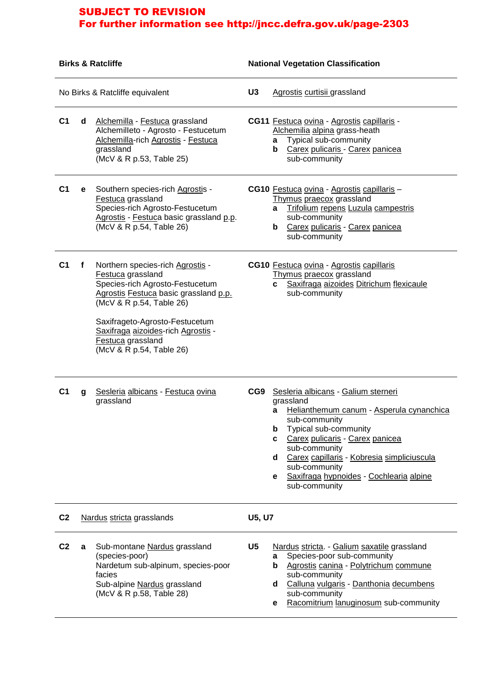| <b>Birks &amp; Ratcliffe</b> |                                                                                                                                                                |                                                                                                                                                                                                                                                                                        | <b>National Vegetation Classification</b> |                                                                                                                                                                                                                                                                                                                                                |  |  |
|------------------------------|----------------------------------------------------------------------------------------------------------------------------------------------------------------|----------------------------------------------------------------------------------------------------------------------------------------------------------------------------------------------------------------------------------------------------------------------------------------|-------------------------------------------|------------------------------------------------------------------------------------------------------------------------------------------------------------------------------------------------------------------------------------------------------------------------------------------------------------------------------------------------|--|--|
|                              |                                                                                                                                                                | No Birks & Ratcliffe equivalent                                                                                                                                                                                                                                                        | U <sub>3</sub>                            | Agrostis curtisii grassland                                                                                                                                                                                                                                                                                                                    |  |  |
| C <sub>1</sub>               | d                                                                                                                                                              | Alchemilla - Festuca grassland<br>Alchemilleto - Agrosto - Festucetum<br>Alchemilla-rich Agrostis - Festuca<br>grassland<br>(McV & R p.53, Table 25)                                                                                                                                   |                                           | <b>CG11</b> Festuca ovina - Agrostis capillaris -<br>Alchemilia alpina grass-heath<br>Typical sub-community<br>a<br>Carex pulicaris - Carex panicea<br>b<br>sub-community                                                                                                                                                                      |  |  |
| C <sub>1</sub>               | е                                                                                                                                                              | Southern species-rich Agrostis -<br>Festuca grassland<br>Species-rich Agrosto-Festucetum<br>Agrostis - Festuca basic grassland p.p.<br>(McV & R p.54, Table 26)                                                                                                                        |                                           | CG10 Festuca ovina - Agrostis capillaris -<br>Thymus praecox grassland<br>Trifolium repens Luzula campestris<br>a<br>sub-community<br>Carex pulicaris - Carex panicea<br>b<br>sub-community                                                                                                                                                    |  |  |
| C <sub>1</sub>               | f                                                                                                                                                              | Northern species-rich Agrostis -<br>Festuca grassland<br>Species-rich Agrosto-Festucetum<br>Agrostis Festuca basic grassland p.p.<br>(McV & R p.54, Table 26)<br>Saxifrageto-Agrosto-Festucetum<br>Saxifraga aizoides-rich Agrostis -<br>Festuca grassland<br>(McV & R p.54, Table 26) |                                           | CG10 Festuca ovina - Agrostis capillaris<br>Thymus praecox grassland<br>Saxifraga aizoides Ditrichum flexicaule<br>C<br>sub-community                                                                                                                                                                                                          |  |  |
| C <sub>1</sub>               | g                                                                                                                                                              | Sesleria albicans - Festuca ovina<br>grassland                                                                                                                                                                                                                                         | CG9                                       | Sesleria albicans - Galium sterneri<br>grassland<br>Helianthemum canum - Asperula cynanchica<br>a<br>sub-community<br>Typical sub-community<br>b<br>Carex pulicaris - Carex panicea<br>C<br>sub-community<br>Carex capillaris - Kobresia simpliciuscula<br>d<br>sub-community<br>Saxifraga hypnoides - Cochlearia alpine<br>е<br>sub-community |  |  |
| C <sub>2</sub>               |                                                                                                                                                                | Nardus stricta grasslands                                                                                                                                                                                                                                                              | <b>U5, U7</b>                             |                                                                                                                                                                                                                                                                                                                                                |  |  |
| C <sub>2</sub>               | Sub-montane Nardus grassland<br>a<br>(species-poor)<br>Nardetum sub-alpinum, species-poor<br>facies<br>Sub-alpine Nardus grassland<br>(McV & R p.58, Table 28) |                                                                                                                                                                                                                                                                                        | U <sub>5</sub>                            | Nardus stricta. - Galium saxatile grassland<br>Species-poor sub-community<br>a<br>Agrostis canina - Polytrichum commune<br>b<br>sub-community<br>Calluna vulgaris - Danthonia decumbens<br>d<br>sub-community<br>Racomitrium lanuginosum sub-community<br>е                                                                                    |  |  |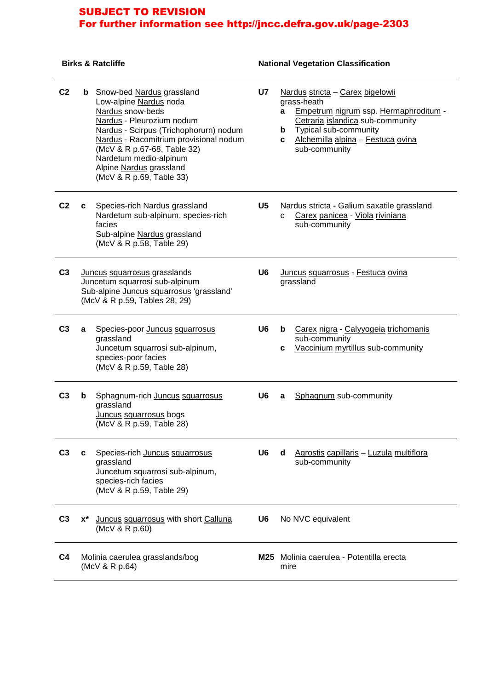## **Birks & Ratcliffe National Vegetation Classification**

| C <sub>2</sub> |       | <b>b</b> Snow-bed Nardus grassland<br>Low-alpine Nardus noda<br>Nardus snow-beds<br>Nardus - Pleurozium nodum<br>Nardus - Scirpus (Trichophorurn) nodum<br>Nardus - Racomitrium provisional nodum<br>(McV & R p.67-68, Table 32)<br>Nardetum medio-alpinum<br>Alpine Nardus grassland<br>(McV & R p.69, Table 33) | <b>U7</b>      | Nardus stricta - Carex bigelowii<br>grass-heath<br>Empetrum nigrum ssp. Hermaphroditum -<br>a<br>Cetraria islandica sub-community<br>Typical sub-community<br>b<br>Alchemilla alpina - Festuca ovina<br>C<br>sub-community |
|----------------|-------|-------------------------------------------------------------------------------------------------------------------------------------------------------------------------------------------------------------------------------------------------------------------------------------------------------------------|----------------|----------------------------------------------------------------------------------------------------------------------------------------------------------------------------------------------------------------------------|
| C <sub>2</sub> | C     | Species-rich Nardus grassland<br>Nardetum sub-alpinum, species-rich<br>facies<br>Sub-alpine Nardus grassland<br>(McV & R p.58, Table 29)                                                                                                                                                                          | U5             | Nardus stricta - Galium saxatile grassland<br>Carex panicea - Viola riviniana<br>C.<br>sub-community                                                                                                                       |
| C <sub>3</sub> |       | Juncus squarrosus grasslands<br>Juncetum squarrosi sub-alpinum<br>Sub-alpine Juncus squarrosus 'grassland'<br>(McV & R p.59, Tables 28, 29)                                                                                                                                                                       | U6             | Juncus squarrosus - Festuca ovina<br>grassland                                                                                                                                                                             |
| C <sub>3</sub> | a     | Species-poor Juncus squarrosus<br>grassland<br>Juncetum squarrosi sub-alpinum,<br>species-poor facies<br>(McV & R p.59, Table 28)                                                                                                                                                                                 | U <sub>6</sub> | Carex nigra - Calyyogeia trichomanis<br>b<br>sub-community<br>Vaccinium myrtillus sub-community<br>c                                                                                                                       |
| C <sub>3</sub> | b     | Sphagnum-rich Juncus squarrosus<br>grassland<br>Juncus squarrosus bogs<br>(McV & R p.59, Table 28)                                                                                                                                                                                                                | U6             | Sphagnum sub-community<br>a                                                                                                                                                                                                |
| ပ်ဒ            | c     | Species-rich Juncus squarrosus<br>grassland<br>Juncetum squarrosi sub-alpinum,<br>species-rich facies<br>(McV & R p.59, Table 29)                                                                                                                                                                                 | U6             | Agrostis capillaris - Luzula multiflora<br>a<br>sub-community                                                                                                                                                              |
| C <sub>3</sub> | $x^*$ | Juncus squarrosus with short Calluna<br>(McV & R p.60)                                                                                                                                                                                                                                                            | U <sub>6</sub> | No NVC equivalent                                                                                                                                                                                                          |
| C <sub>4</sub> |       | Molinia caerulea grasslands/bog<br>(McV & R p.64)                                                                                                                                                                                                                                                                 | M25            | Molinia caerulea - Potentilla erecta<br>mire                                                                                                                                                                               |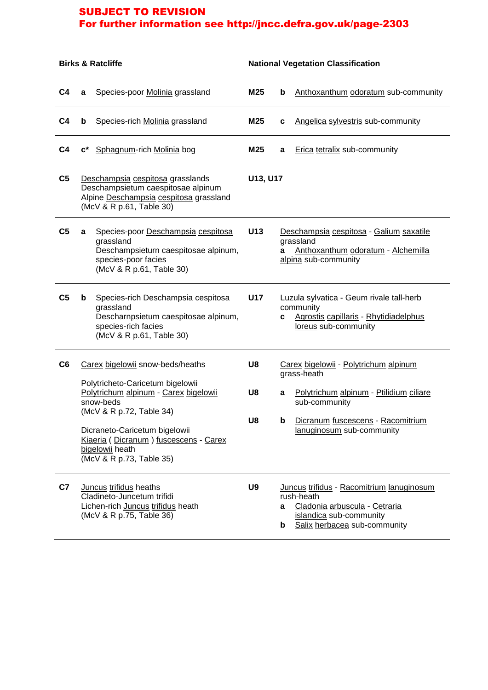| <b>Birks &amp; Ratcliffe</b> |                                                                                                                                                                                                                                                                                 | <b>National Vegetation Classification</b>                                                                        |                |                                                                                                                              |                                                                                                                                                                                    |  |
|------------------------------|---------------------------------------------------------------------------------------------------------------------------------------------------------------------------------------------------------------------------------------------------------------------------------|------------------------------------------------------------------------------------------------------------------|----------------|------------------------------------------------------------------------------------------------------------------------------|------------------------------------------------------------------------------------------------------------------------------------------------------------------------------------|--|
| C <sub>4</sub>               | a                                                                                                                                                                                                                                                                               | Species-poor Molinia grassland                                                                                   | M25            | $\mathbf b$                                                                                                                  | Anthoxanthum odoratum sub-community                                                                                                                                                |  |
| C <sub>4</sub>               | b                                                                                                                                                                                                                                                                               | Species-rich Molinia grassland                                                                                   | M25            | C                                                                                                                            | Angelica sylvestris sub-community                                                                                                                                                  |  |
| C <sub>4</sub>               | $\mathbf{c}^*$                                                                                                                                                                                                                                                                  | Sphagnum-rich Molinia bog                                                                                        | M25            | a                                                                                                                            | <b>Erica tetralix sub-community</b>                                                                                                                                                |  |
| C <sub>5</sub>               | (McV & R p.61, Table 30)                                                                                                                                                                                                                                                        | Deschampsia cespitosa grasslands<br>Deschampsietum caespitosae alpinum<br>Alpine Deschampsia cespitosa grassland | U13, U17       |                                                                                                                              |                                                                                                                                                                                    |  |
| C <sub>5</sub>               | a<br>grassland<br>species-poor facies                                                                                                                                                                                                                                           | Species-poor Deschampsia cespitosa<br>Deschampsieturn caespitosae alpinum,<br>(McV & R p.61, Table 30)           | U13            | a                                                                                                                            | Deschampsia cespitosa - Galium saxatile<br>grassland<br>Anthoxanthum odoratum - Alchemilla<br>alpina sub-community                                                                 |  |
| C <sub>5</sub>               | Species-rich Deschampsia cespitosa<br>b<br>grassland<br>Descharnpsietum caespitosae alpinum,<br>species-rich facies<br>(McV & R p.61, Table 30)                                                                                                                                 |                                                                                                                  | <b>U17</b>     | Luzula sylvatica - Geum rivale tall-herb<br>community<br>Agrostis capillaris - Rhytidiadelphus<br>C.<br>loreus sub-community |                                                                                                                                                                                    |  |
| C6                           | Carex bigelowii snow-beds/heaths<br>Polytricheto-Caricetum bigelowii<br>Polytrichum alpinum - Carex bigelowii<br>snow-beds<br>(McV & R p.72, Table 34)<br>Dicraneto-Caricetum bigelowii<br>Kiaeria (Dicranum) fuscescens - Carex<br>bigelowii heath<br>(McV & R p.73, Table 35) |                                                                                                                  | U8<br>U8<br>U8 | a<br>b                                                                                                                       | Carex bigelowii - Polytrichum alpinum<br>grass-heath<br>Polytrichum alpinum - Ptilidium ciliare<br>sub-community<br>Dicranum fuscescens - Racomitrium<br>lanuginosum sub-community |  |
| C7                           | Juncus trifidus heaths<br>Cladineto-Juncetum trifidi<br>(McV & R p.75, Table 36)                                                                                                                                                                                                | Lichen-rich Juncus trifidus heath                                                                                | U <sub>9</sub> | a<br>b                                                                                                                       | Juncus trifidus - Racomitrium lanuginosum<br>rush-heath<br>Cladonia arbuscula - Cetraria<br>islandica sub-community<br>Salix herbacea sub-community                                |  |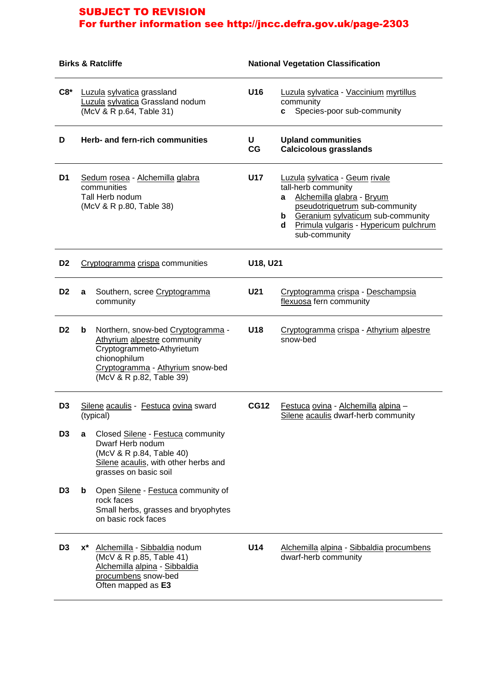| <b>Birks &amp; Ratcliffe</b> |                                                                                               | <b>National Vegetation Classification</b>                                                                                                                                     |             |                                                                                                                                                                                                                                        |
|------------------------------|-----------------------------------------------------------------------------------------------|-------------------------------------------------------------------------------------------------------------------------------------------------------------------------------|-------------|----------------------------------------------------------------------------------------------------------------------------------------------------------------------------------------------------------------------------------------|
| $C8*$                        | Luzula sylvatica grassland<br>Luzula sylvatica Grassland nodum<br>(McV & R p.64, Table 31)    |                                                                                                                                                                               | U16         | Luzula sylvatica - Vaccinium myrtillus<br>community<br>Species-poor sub-community<br>C.                                                                                                                                                |
| D                            |                                                                                               | Herb- and fern-rich communities                                                                                                                                               | U<br>CG     | <b>Upland communities</b><br><b>Calcicolous grasslands</b>                                                                                                                                                                             |
| D <sub>1</sub>               | Sedum rosea - Alchemilla glabra<br>communities<br>Tall Herb nodum<br>(McV & R p.80, Table 38) |                                                                                                                                                                               | U17         | Luzula sylvatica - Geum rivale<br>tall-herb community<br>Alchemilla glabra - Bryum<br>a<br>pseudotriquetrum sub-community<br><b>b</b> Geranium sylvaticum sub-community<br>Primula vulgaris - Hypericum pulchrum<br>d<br>sub-community |
| D <sub>2</sub>               | Cryptogramma crispa communities                                                               |                                                                                                                                                                               | U18, U21    |                                                                                                                                                                                                                                        |
| D <sub>2</sub>               | a                                                                                             | Southern, scree Cryptogramma<br>community                                                                                                                                     | U21         | Cryptogramma crispa - Deschampsia<br>flexuosa fern community                                                                                                                                                                           |
| D <sub>2</sub>               | b                                                                                             | Northern, snow-bed Cryptogramma -<br>Athyrium alpestre community<br>Cryptogrammeto-Athyrietum<br>chionophilum<br>Cryptogramma - Athyrium snow-bed<br>(McV & R p.82, Table 39) | U18         | Cryptogramma crispa - Athyrium alpestre<br>snow-bed                                                                                                                                                                                    |
| D <sub>3</sub>               | Silene acaulis - Festuca ovina sward<br>(typical)                                             |                                                                                                                                                                               | <b>CG12</b> | Festuca ovina - Alchemilla alpina -<br>Silene acaulis dwarf-herb community                                                                                                                                                             |
| D <sub>3</sub>               | a                                                                                             | Closed Silene - Festuca community<br>Dwarf Herb nodum<br>(McV & R p.84, Table 40)<br>Silene acaulis, with other herbs and<br>grasses on basic soil                            |             |                                                                                                                                                                                                                                        |
| D <sub>3</sub>               | b                                                                                             | Open Silene - Festuca community of<br>rock faces<br>Small herbs, grasses and bryophytes<br>on basic rock faces                                                                |             |                                                                                                                                                                                                                                        |
| D <sub>3</sub>               |                                                                                               | x* Alchemilla - Sibbaldia nodum<br>(McV & R p.85, Table 41)<br>Alchemilla alpina - Sibbaldia<br>procumbens snow-bed<br>Often mapped as E3                                     | U14         | Alchemilla alpina - Sibbaldia procumbens<br>dwarf-herb community                                                                                                                                                                       |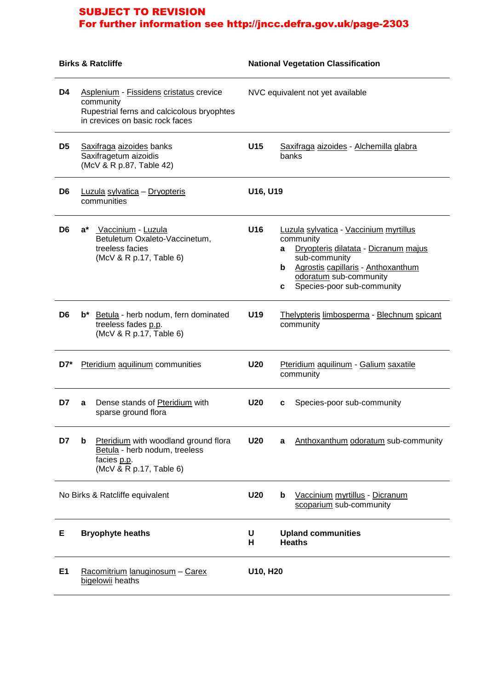|                | <b>Birks &amp; Ratcliffe</b>                                                                                                          |                 | <b>National Vegetation Classification</b>                                                                                                                                                                                      |  |  |  |
|----------------|---------------------------------------------------------------------------------------------------------------------------------------|-----------------|--------------------------------------------------------------------------------------------------------------------------------------------------------------------------------------------------------------------------------|--|--|--|
| D4             | Asplenium - Fissidens cristatus crevice<br>community<br>Rupestrial ferns and calcicolous bryophtes<br>in crevices on basic rock faces |                 | NVC equivalent not yet available                                                                                                                                                                                               |  |  |  |
| D <sub>5</sub> | Saxifraga aizoides banks<br>Saxifragetum aizoidis<br>(McV & R p.87, Table 42)                                                         | U15             | Saxifraga aizoides - Alchemilla glabra<br>banks                                                                                                                                                                                |  |  |  |
| D <sub>6</sub> | Luzula sylvatica - Dryopteris<br>communities                                                                                          |                 | U16, U19                                                                                                                                                                                                                       |  |  |  |
| D <sub>6</sub> | a*<br>Vaccinium - Luzula<br>Betuletum Oxaleto-Vaccinetum,<br>treeless facies<br>(McV & R p.17, Table 6)                               | U16             | Luzula sylvatica - Vaccinium myrtillus<br>community<br>Dryopteris dilatata - Dicranum majus<br>a<br>sub-community<br><b>b</b> Agrostis capillaris - Anthoxanthum<br>odoratum sub-community<br>Species-poor sub-community<br>C. |  |  |  |
| D <sub>6</sub> | b* Betula - herb nodum, fern dominated<br>treeless fades p.p.<br>(McV & R p.17, Table 6)                                              | U19             | Thelypteris limbosperma - Blechnum spicant<br>community                                                                                                                                                                        |  |  |  |
| $D7^*$         | Pteridium aquilinum communities                                                                                                       | <b>U20</b>      | Pteridium aquilinum - Galium saxatile<br>community                                                                                                                                                                             |  |  |  |
| D7             | Dense stands of Pteridium with<br>a<br>sparse ground flora                                                                            | <b>U20</b>      | Species-poor sub-community<br>c                                                                                                                                                                                                |  |  |  |
| D7             | Pteridium with woodland ground flora<br>b<br>Betula - herb nodum, treeless<br>facies p.p.<br>(McV & R p.17, Table 6)                  | U <sub>20</sub> | Anthoxanthum odoratum sub-community<br>a                                                                                                                                                                                       |  |  |  |
|                | No Birks & Ratcliffe equivalent                                                                                                       |                 | Vaccinium myrtillus - Dicranum<br>b<br>scoparium sub-community                                                                                                                                                                 |  |  |  |
| Е              | <b>Bryophyte heaths</b>                                                                                                               | U<br>н          | <b>Upland communities</b><br><b>Heaths</b>                                                                                                                                                                                     |  |  |  |
| E1             | Racomitrium lanuginosum - Carex<br>bigelowii heaths                                                                                   | U10, H20        |                                                                                                                                                                                                                                |  |  |  |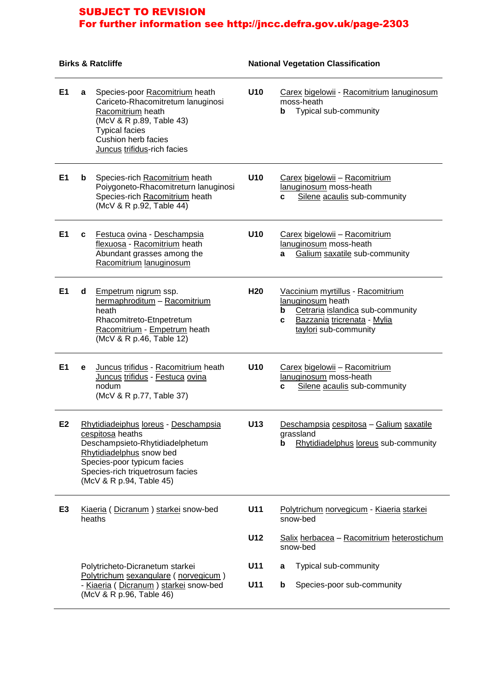#### **Birks & Ratcliffe National Vegetation Classification E1 a** Species-poor Racomitrium heath Cariceto-Rhacomitretum lanuginosi Racomitrium heath (McV & R p.89, Table 43) Typical facies Cushion herb facies Juncus trifidus-rich facies **U10** Carex bigelowii - Racomitrium lanuginosum moss-heath **b** Typical sub-community **E1 b** Species-rich Racomitrium heath Poiygoneto-Rhacomitreturn lanuginosi Species-rich Racomitrium heath (McV & R p.92, Table 44) **U10** Carex bigelowii – Racomitrium lanuginosum moss-heath **c** Silene acaulis sub-community **E1 c** Festuca ovina - Deschampsia flexuosa - Racomitrium heath Abundant grasses among the Racomitrium lanuginosum **U10** Carex bigelowii – Racomitrium lanuginosum moss-heath **a** Galium saxatile sub-community **E1 d** Empetrum nigrum ssp. hermaphroditum – Racomitrium heath Rhacomitreto-Etnpetretum Racomitrium - Empetrum heath (McV & R p.46, Table 12) **H20** Vaccinium myrtillus - Racomitrium lanuginosum heath **b** Cetraria islandica sub-community **c** Bazzania tricrenata - Mylia taylori sub-community **E1 e** Juncus trifidus - Racomitrium heath Juncus trifidus - Festuca ovina nodum (McV & R p.77, Table 37) **U10** Carex bigelowii – Racomitrium lanuginosum moss-heath **c** Silene acaulis sub-community **E2** Rhytidiadeiphus loreus - Deschampsia cespitosa heaths Deschampsieto-Rhytidiadelphetum Rhytidiadelphus snow bed Species-poor typicum facies Species-rich triquetrosum facies (McV & R p.94, Table 45) **U13** Deschampsia cespitosa – Galium saxatile grassland **b** Rhytidiadelphus loreus sub-community **E3** Kiaeria ( Dicranum ) starkei snow-bed heaths Polytricheto-Dicranetum starkei Polytrichum sexangulare ( norvegicum ) - Kiaeria ( Dicranum ) starkei snow-bed (McV & R p.96, Table 46) **U11** Polytrichum norvegicum - Kiaeria starkei snow-bed **U12** Salix herbacea – Racomitrium heterostichum snow-bed **U11 a** Typical sub-community **U11 b** Species-poor sub-community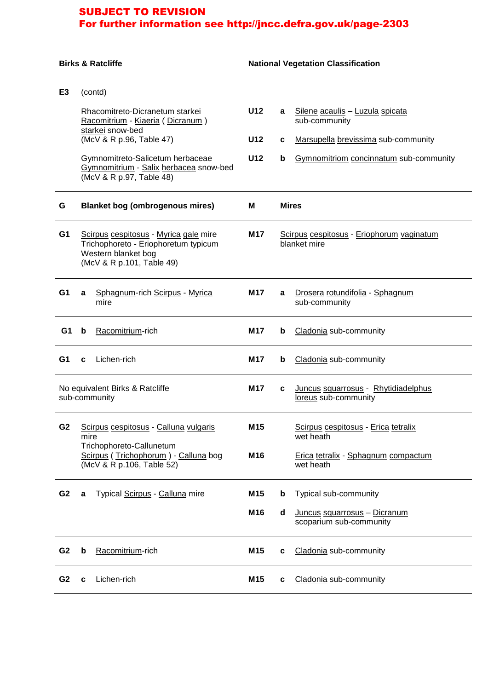|                | <b>Birks &amp; Ratcliffe</b>                                                                                                                                                                                                             |                                                                                                                                                          |                        | <b>National Vegetation Classification</b> |                                                                                                                                   |  |  |
|----------------|------------------------------------------------------------------------------------------------------------------------------------------------------------------------------------------------------------------------------------------|----------------------------------------------------------------------------------------------------------------------------------------------------------|------------------------|-------------------------------------------|-----------------------------------------------------------------------------------------------------------------------------------|--|--|
| E <sub>3</sub> | (contd)<br>Rhacomitreto-Dicranetum starkei<br>Racomitrium - Kiaeria (Dicranum)<br>starkei snow-bed<br>(McV & R p.96, Table 47)<br>Gymnomitreto-Salicetum herbaceae<br>Gymnomitrium - Salix herbacea snow-bed<br>(McV & R p.97, Table 48) |                                                                                                                                                          |                        | a<br>c<br>b                               | Silene acaulis - Luzula spicata<br>sub-community<br>Marsupella brevissima sub-community<br>Gymnomitriom concinnatum sub-community |  |  |
| G              |                                                                                                                                                                                                                                          | <b>Blanket bog (ombrogenous mires)</b>                                                                                                                   | М                      | <b>Mires</b>                              |                                                                                                                                   |  |  |
| G <sub>1</sub> |                                                                                                                                                                                                                                          | Scirpus cespitosus - Myrica gale mire<br>M17<br>Trichophoreto - Eriophoretum typicum<br>blanket mire<br>Western blanket bog<br>(McV & R p.101, Table 49) |                        | Scirpus cespitosus - Eriophorum vaginatum |                                                                                                                                   |  |  |
| G <sub>1</sub> | a                                                                                                                                                                                                                                        | Sphagnum-rich Scirpus - Myrica<br>mire                                                                                                                   | M17                    | a                                         | Drosera rotundifolia - Sphagnum<br>sub-community                                                                                  |  |  |
| G1             | b                                                                                                                                                                                                                                        | Racomitrium-rich                                                                                                                                         | M17                    | b                                         | Cladonia sub-community                                                                                                            |  |  |
| G1             | c                                                                                                                                                                                                                                        | Lichen-rich                                                                                                                                              | M17                    | b                                         | Cladonia sub-community                                                                                                            |  |  |
|                |                                                                                                                                                                                                                                          | No equivalent Birks & Ratcliffe<br>sub-community                                                                                                         | M17                    | c                                         | Juncus squarrosus - Rhytidiadelphus<br>loreus sub-community                                                                       |  |  |
| G <sub>2</sub> | Scirpus cespitosus - Calluna vulgaris<br>mire<br>Trichophoreto-Callunetum<br>Scirpus (Trichophorum) - Calluna bog<br>(McV & R p.106, Table 52)                                                                                           |                                                                                                                                                          | M <sub>15</sub><br>M16 |                                           | Scirpus cespitosus - Erica tetralix<br>wet heath<br>Erica tetralix - Sphagnum compactum<br>wet heath                              |  |  |
| G <sub>2</sub> | a                                                                                                                                                                                                                                        | Typical Scirpus - Calluna mire                                                                                                                           | M15<br>M16             | b<br>d                                    | Typical sub-community<br>Juncus squarrosus - Dicranum<br>scoparium sub-community                                                  |  |  |
| G <sub>2</sub> | b                                                                                                                                                                                                                                        | Racomitrium-rich                                                                                                                                         | M15                    | c                                         | Cladonia sub-community                                                                                                            |  |  |
| G <sub>2</sub> | c                                                                                                                                                                                                                                        | Lichen-rich                                                                                                                                              | M <sub>15</sub>        | c                                         | Cladonia sub-community                                                                                                            |  |  |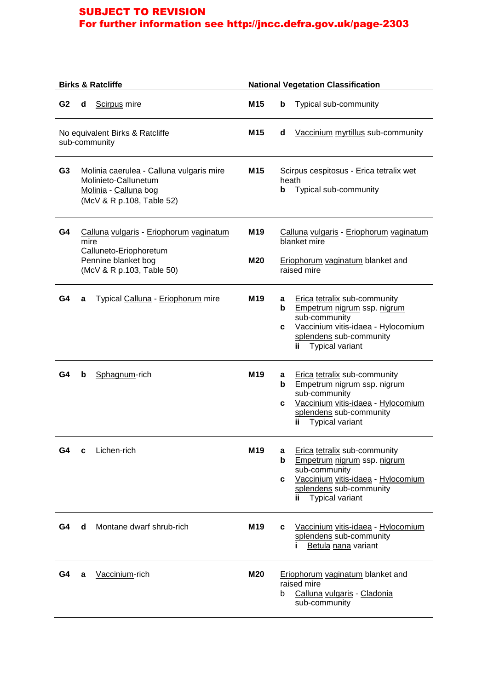|                |      | <b>Birks &amp; Ratcliffe</b>                                                                                           | <b>National Vegetation Classification</b> |                                                                                                                                                                                                      |  |
|----------------|------|------------------------------------------------------------------------------------------------------------------------|-------------------------------------------|------------------------------------------------------------------------------------------------------------------------------------------------------------------------------------------------------|--|
| G <sub>2</sub> | d    | Scirpus mire                                                                                                           | M <sub>15</sub>                           | b<br>Typical sub-community                                                                                                                                                                           |  |
|                |      | No equivalent Birks & Ratcliffe<br>sub-community                                                                       | M <sub>15</sub>                           | Vaccinium myrtillus sub-community<br>d                                                                                                                                                               |  |
| G <sub>3</sub> |      | Molinia caerulea - Calluna vulgaris mire<br>Molinieto-Callunetum<br>Molinia - Calluna bog<br>(McV & R p.108, Table 52) | M <sub>15</sub>                           | Scirpus cespitosus - Erica tetralix wet<br>heath<br>Typical sub-community<br>b                                                                                                                       |  |
| G4             | mire | Calluna vulgaris - Eriophorum vaginatum<br>Calluneto-Eriophoretum                                                      | M <sub>19</sub>                           | Calluna vulgaris - Eriophorum vaginatum<br>blanket mire                                                                                                                                              |  |
|                |      | Pennine blanket bog<br>(McV & R p.103, Table 50)                                                                       | <b>M20</b>                                | Eriophorum vaginatum blanket and<br>raised mire                                                                                                                                                      |  |
| G4             | a    | Typical Calluna - Eriophorum mire                                                                                      | M19                                       | <b>Erica tetralix sub-community</b><br>a<br>Empetrum nigrum ssp. nigrum<br>b<br>sub-community<br>Vaccinium vitis-idaea - Hylocomium<br>c<br>splendens sub-community<br><b>Typical variant</b><br>ii. |  |
| G4             | b    | Sphagnum-rich                                                                                                          | M <sub>19</sub>                           | Erica tetralix sub-community<br>a<br>Empetrum nigrum ssp. nigrum<br>b<br>sub-community<br>Vaccinium vitis-idaea - Hylocomium<br>c<br>splendens sub-community<br><b>Typical variant</b><br>ii.        |  |
| G4             | c    | Lichen-rich                                                                                                            | M <sub>19</sub>                           | Erica tetralix sub-community<br>а<br>b<br>Empetrum nigrum ssp. nigrum<br>sub-community<br>Vaccinium vitis-idaea - Hylocomium<br>c<br>splendens sub-community<br><b>Typical variant</b><br>ii.        |  |
| G4             | d    | Montane dwarf shrub-rich                                                                                               | M <sub>19</sub>                           | Vaccinium vitis-idaea - Hylocomium<br>c<br>splendens sub-community<br>Betula nana variant<br>п                                                                                                       |  |
| G4             | a    | Vaccinium-rich                                                                                                         | <b>M20</b>                                | Eriophorum vaginatum blanket and<br>raised mire<br>Calluna vulgaris - Cladonia<br>b<br>sub-community                                                                                                 |  |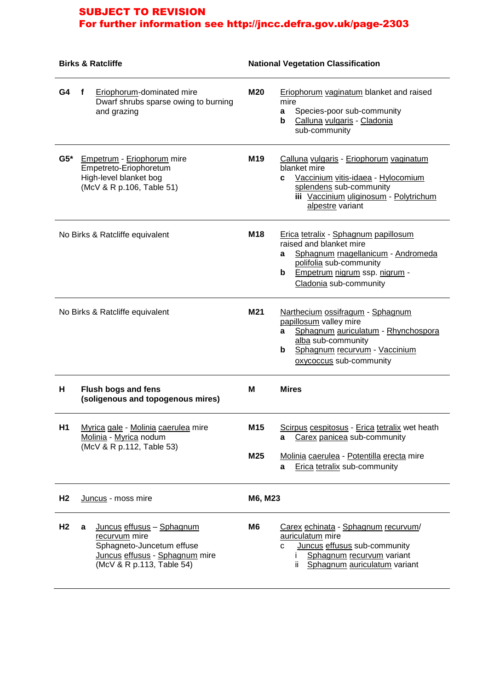| <b>Birks &amp; Ratcliffe</b>    |                                                                                                                                             |                 | <b>National Vegetation Classification</b>                                                                                                                                                                    |  |  |
|---------------------------------|---------------------------------------------------------------------------------------------------------------------------------------------|-----------------|--------------------------------------------------------------------------------------------------------------------------------------------------------------------------------------------------------------|--|--|
| G4                              | f<br>Eriophorum-dominated mire<br>Dwarf shrubs sparse owing to burning<br>and grazing                                                       | <b>M20</b>      | Eriophorum vaginatum blanket and raised<br>mire<br>Species-poor sub-community<br>a<br>Calluna vulgaris - Cladonia<br>b<br>sub-community                                                                      |  |  |
| $G5*$                           | Empetrum - Eriophorum mire<br>Empetreto-Eriophoretum<br>High-level blanket bog<br>(McV & R p.106, Table 51)                                 | M <sub>19</sub> | Calluna vulgaris - Eriophorum vaginatum<br>blanket mire<br>Vaccinium vitis-idaea - Hylocomium<br>C<br>splendens sub-community<br>iii Vaccinium uliginosum - Polytrichum<br>alpestre variant                  |  |  |
|                                 | No Birks & Ratcliffe equivalent                                                                                                             | M <sub>18</sub> | Erica tetralix - Sphagnum papillosum<br>raised and blanket mire<br>Sphagnum rnagellanicum - Andromeda<br>a<br>polifolia sub-community<br><b>Empetrum nigrum ssp. nigrum -</b><br>b<br>Cladonia sub-community |  |  |
| No Birks & Ratcliffe equivalent |                                                                                                                                             | M21             | Narthecium ossifragum - Sphagnum<br>papillosum valley mire<br>Sphagnum auriculatum - Rhynchospora<br>a<br>alba sub-community<br>Sphagnum recurvum - Vaccinium<br>b<br>oxycoccus sub-community                |  |  |
| н                               | <b>Flush bogs and fens</b><br>(soligenous and topogenous mires)                                                                             | м               | <b>Mires</b>                                                                                                                                                                                                 |  |  |
| H1                              | Myrica gale - Molinia caerulea mire<br>Molinia - Myrica nodum<br>(McV & R p.112, Table 53)                                                  |                 | Scirpus cespitosus - Erica tetralix wet heath<br>Carex panicea sub-community<br>a<br>Molinia caerulea - Potentilla erecta mire<br><b>Erica tetralix sub-community</b><br>a                                   |  |  |
| H <sub>2</sub>                  | Juncus - moss mire                                                                                                                          | M6, M23         |                                                                                                                                                                                                              |  |  |
| H <sub>2</sub>                  | Juncus effusus - Sphagnum<br>a<br>recurvum mire<br>Sphagneto-Juncetum effuse<br>Juncus effusus - Sphagnum mire<br>(McV & R p.113, Table 54) | M6              | Carex echinata - Sphagnum recurvum/<br>auriculatum mire<br>Juncus effusus sub-community<br>C<br>Sphagnum recurvum variant<br>L<br>Sphagnum auriculatum variant<br>ii.                                        |  |  |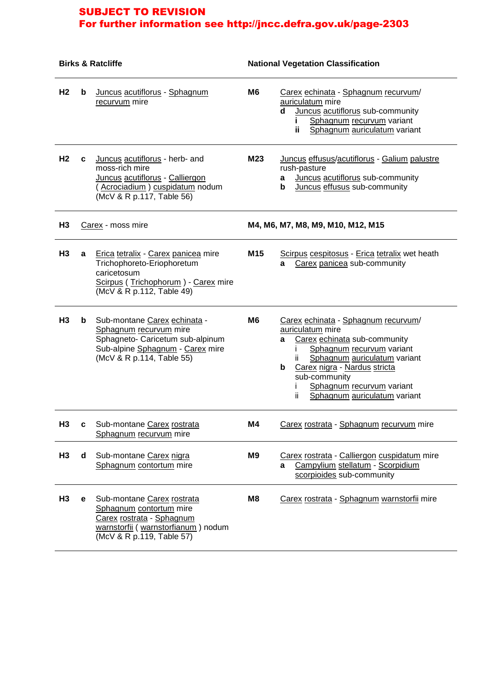| <b>Birks &amp; Ratcliffe</b> |   | <b>National Vegetation Classification</b>                                                                                                                   |                 |                                                                                                                                                                                                                                                                                     |
|------------------------------|---|-------------------------------------------------------------------------------------------------------------------------------------------------------------|-----------------|-------------------------------------------------------------------------------------------------------------------------------------------------------------------------------------------------------------------------------------------------------------------------------------|
| H <sub>2</sub>               | b | Juncus acutiflorus - Sphagnum<br>recurvum mire                                                                                                              | M <sub>6</sub>  | Carex echinata - Sphagnum recurvum/<br>auriculatum mire<br>Juncus acutiflorus sub-community<br>d<br>Sphagnum recurvum variant<br>Sphagnum auriculatum variant<br>ij.                                                                                                                |
| H <sub>2</sub>               | C | Juncus acutiflorus - herb- and<br>moss-rich mire<br>Juncus acutiflorus - Calliergon<br>(Acrociadium) cuspidatum nodum<br>(McV & R p.117, Table 56)          | M23             | Juncus effusus/acutiflorus - Galium palustre<br>rush-pasture<br>Juncus acutiflorus sub-community<br>а<br>Juncus effusus sub-community<br>b                                                                                                                                          |
| H <sub>3</sub>               |   | Carex - moss mire                                                                                                                                           |                 | M4, M6, M7, M8, M9, M10, M12, M15                                                                                                                                                                                                                                                   |
| H <sub>3</sub>               | a | Erica tetralix - Carex panicea mire<br>Trichophoreto-Eriophoretum<br>caricetosum<br>Scirpus (Trichophorum) - Carex mire<br>(McV & R p.112, Table 49)        | M <sub>15</sub> | Scirpus cespitosus - Erica tetralix wet heath<br>Carex panicea sub-community<br>a                                                                                                                                                                                                   |
| H <sub>3</sub>               | b | Sub-montane Carex echinata -<br>Sphagnum recurvum mire<br>Sphagneto- Caricetum sub-alpinum<br>Sub-alpine Sphagnum - Carex mire<br>(McV & R p.114, Table 55) | M <sub>6</sub>  | Carex echinata - Sphagnum recurvum/<br>auriculatum mire<br>Carex echinata sub-community<br>a<br>Sphagnum recurvum variant<br>Sphagnum auriculatum variant<br>Carex nigra - Nardus stricta<br>b<br>sub-community<br>Sphagnum recurvum variant<br>Sphagnum auriculatum variant<br>ii. |
| пs                           |   | Sub-montane Carex rostrata<br>Sphagnum recurvum mire                                                                                                        | M4              | Carex rostrata - Sphagnum recurvum mire                                                                                                                                                                                                                                             |
| H <sub>3</sub>               | d | Sub-montane Carex nigra<br>Sphagnum contortum mire                                                                                                          | M9              | Carex rostrata - Calliergon cuspidatum mire<br>Campylium stellatum - Scorpidium<br>a<br>scorpioides sub-community                                                                                                                                                                   |
| H3                           | е | Sub-montane Carex rostrata<br>Sphagnum contortum mire<br>Carex rostrata - Sphagnum<br>warnstorfii (warnstorfianum) nodum<br>(McV & R p.119, Table 57)       | M8              | Carex rostrata - Sphagnum warnstorfii mire                                                                                                                                                                                                                                          |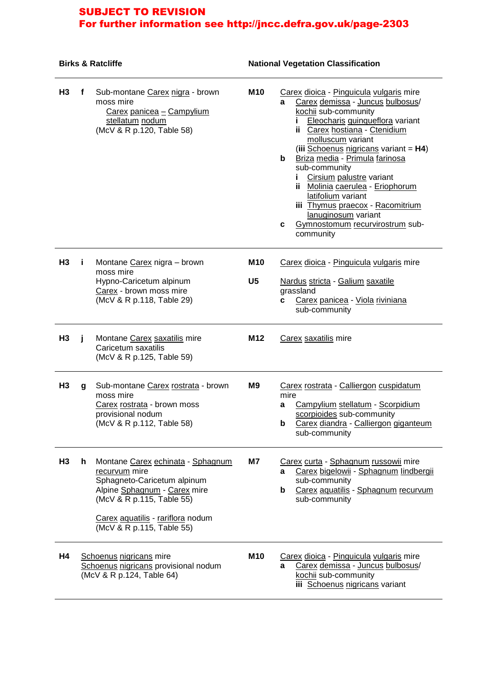## **Birks & Ratcliffe National Vegetation Classification**

| H3             | f  | Sub-montane Carex nigra - brown<br>moss mire<br>Carex panicea - Campylium<br>stellatum nodum<br>(McV & R p.120, Table 58)                                                                                        | M10                          | Carex dioica - Pinguicula vulgaris mire<br>Carex demissa - Juncus bulbosus/<br>a<br>kochii sub-community<br>Eleocharis quinqueflora variant<br>Ĭ.<br>ii Carex hostiana - Ctenidium<br>molluscum variant<br>(iii Schoenus nigricans variant = $H4$ )<br>b<br>Briza media - Primula farinosa<br>sub-community<br>Cirsium palustre variant<br>i.<br>ii Molinia caerulea - Eriophorum<br>latifolium variant<br>iii Thymus praecox - Racomitrium<br>lanuginosum variant<br>Gymnostomum recurvirostrum sub-<br>c<br>community |
|----------------|----|------------------------------------------------------------------------------------------------------------------------------------------------------------------------------------------------------------------|------------------------------|-------------------------------------------------------------------------------------------------------------------------------------------------------------------------------------------------------------------------------------------------------------------------------------------------------------------------------------------------------------------------------------------------------------------------------------------------------------------------------------------------------------------------|
| H <sub>3</sub> | Î. | Montane Carex nigra - brown<br>moss mire<br>Hypno-Caricetum alpinum<br>Carex - brown moss mire<br>(McV & R p.118, Table 29)                                                                                      | <b>M10</b><br>U <sub>5</sub> | Carex dioica - Pinguicula vulgaris mire<br>Nardus stricta - Galium saxatile<br>grassland<br>Carex panicea - Viola riviniana<br>c<br>sub-community                                                                                                                                                                                                                                                                                                                                                                       |
| H <sub>3</sub> | j. | Montane Carex saxatilis mire<br>Caricetum saxatilis<br>(McV & R p.125, Table 59)                                                                                                                                 | M12                          | Carex saxatilis mire                                                                                                                                                                                                                                                                                                                                                                                                                                                                                                    |
| H <sub>3</sub> | g  | Sub-montane Carex rostrata - brown<br>moss mire<br>Carex rostrata - brown moss<br>provisional nodum<br>(McV & R p.112, Table 58)                                                                                 | M <sub>9</sub>               | Carex rostrata - Calliergon cuspidatum<br>mire<br>Campylium stellatum - Scorpidium<br>a<br>scorpioides sub-community<br>Carex diandra - Calliergon giganteum<br>b<br>sub-community                                                                                                                                                                                                                                                                                                                                      |
| H <sub>3</sub> | h. | Montane Carex echinata - Sphagnum<br>recurvum mire<br>Sphagneto-Caricetum alpinum<br>Alpine Sphagnum - Carex mire<br>(McV & R p.115, Table 55)<br>Carex aquatilis - rariflora nodum<br>(McV & R p.115, Table 55) | M7                           | Carex curta - Sphagnum russowii mire<br>Carex bigelowii - Sphagnum lindbergii<br>a<br>sub-community<br>Carex aquatilis - Sphagnum recurvum<br>b<br>sub-community                                                                                                                                                                                                                                                                                                                                                        |
| H4             |    | Schoenus nigricans mire<br>Schoenus nigricans provisional nodum<br>(McV & R p.124, Table 64)                                                                                                                     | <b>M10</b>                   | Carex dioica - Pinguicula vulgaris mire<br>Carex demissa - Juncus bulbosus/<br>a<br>kochii sub-community<br>iii Schoenus nigricans variant                                                                                                                                                                                                                                                                                                                                                                              |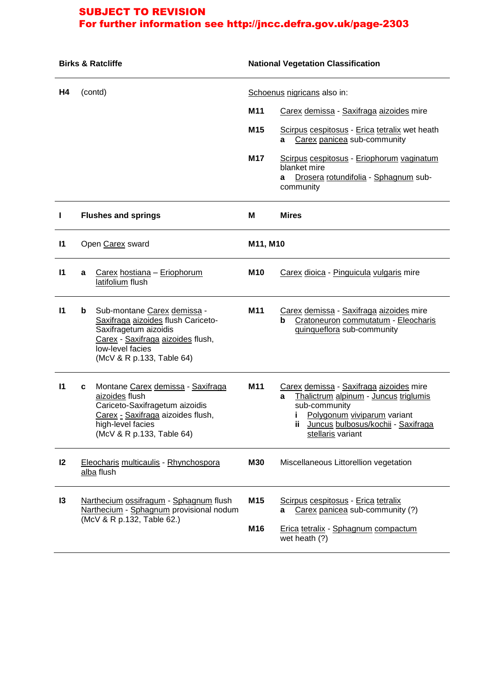| <b>Birks &amp; Ratcliffe</b> |                                                                                                                 | <b>National Vegetation Classification</b>                                                                                                                                        |                             |                                                                                                                                                                                                     |  |
|------------------------------|-----------------------------------------------------------------------------------------------------------------|----------------------------------------------------------------------------------------------------------------------------------------------------------------------------------|-----------------------------|-----------------------------------------------------------------------------------------------------------------------------------------------------------------------------------------------------|--|
| Η4                           | (contd)                                                                                                         |                                                                                                                                                                                  | Schoenus nigricans also in: |                                                                                                                                                                                                     |  |
|                              |                                                                                                                 |                                                                                                                                                                                  | M11                         | Carex demissa - Saxifraga aizoides mire                                                                                                                                                             |  |
|                              |                                                                                                                 |                                                                                                                                                                                  | M15                         | Scirpus cespitosus - Erica tetralix wet heath<br>Carex panicea sub-community<br>a                                                                                                                   |  |
|                              |                                                                                                                 |                                                                                                                                                                                  | <b>M17</b>                  | Scirpus cespitosus - Eriophorum vaginatum<br>blanket mire<br>Drosera rotundifolia - Sphagnum sub-<br>a<br>community                                                                                 |  |
| $\mathbf{I}$                 |                                                                                                                 | <b>Flushes and springs</b>                                                                                                                                                       | M                           | <b>Mires</b>                                                                                                                                                                                        |  |
| $\mathbf{I}$                 |                                                                                                                 | Open Carex sward                                                                                                                                                                 | M11, M10                    |                                                                                                                                                                                                     |  |
| $\mathsf{I}$                 | a                                                                                                               | Carex hostiana - Eriophorum<br>latifolium flush                                                                                                                                  | <b>M10</b>                  | Carex dioica - Pinguicula vulgaris mire                                                                                                                                                             |  |
| $\mathsf{I}$                 | b                                                                                                               | Sub-montane Carex demissa -<br>Saxifraga aizoides flush Cariceto-<br>Saxifragetum aizoidis<br>Carex - Saxifraga aizoides flush,<br>low-level facies<br>(McV & R p.133, Table 64) | M11                         | Carex demissa - Saxifraga aizoides mire<br>b<br>Cratoneuron commutatum - Eleocharis<br>quinqueflora sub-community                                                                                   |  |
| 11                           | c                                                                                                               | Montane Carex demissa - Saxifraga<br>aizoides flush<br>Cariceto-Saxifragetum aizoidis<br>Carex - Saxifraga aizoides flush,<br>high-level facies<br>(McV & R p.133, Table 64)     | M11                         | Carex demissa - Saxifraga aizoides mire<br>Thalictrum alpinum - Juncus triglumis<br>a<br>sub-community<br>Polygonum viviparum variant<br>ii Juncus bulbosus/kochii - Saxifraga<br>stellaris variant |  |
| 12                           | Eleocharis multicaulis - Rhynchospora<br>alba flush                                                             |                                                                                                                                                                                  | <b>M30</b>                  | Miscellaneous Littorellion vegetation                                                                                                                                                               |  |
| $\overline{3}$               | Narthecium ossifragum - Sphagnum flush<br>Narthecium - Sphagnum provisional nodum<br>(McV & R p.132, Table 62.) |                                                                                                                                                                                  | M15<br>M16                  | Scirpus cespitosus - Erica tetralix<br>Carex panicea sub-community (?)<br>a<br>Erica tetralix - Sphagnum compactum<br>wet heath (?)                                                                 |  |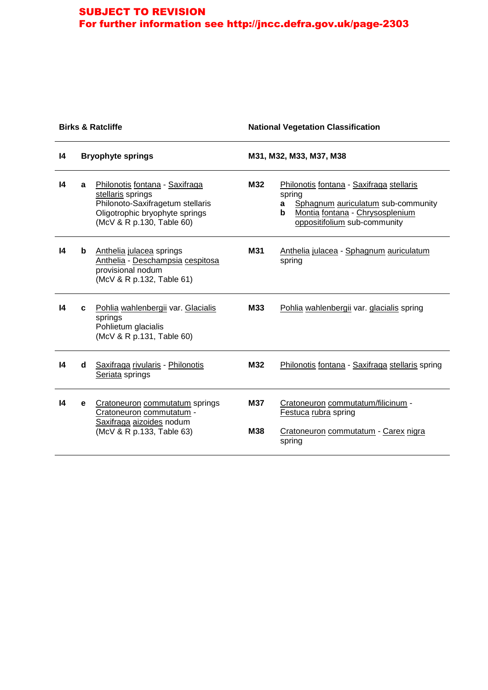## **Birks & Ratcliffe National Vegetation Classification**

| $\mathsf{I}4$   | <b>Bryophyte springs</b> |                                                                                                                                                        | M31, M32, M33, M37, M38 |                                                                                                                                                                       |
|-----------------|--------------------------|--------------------------------------------------------------------------------------------------------------------------------------------------------|-------------------------|-----------------------------------------------------------------------------------------------------------------------------------------------------------------------|
| 14              | a                        | Philonotis fontana - Saxifraga<br>stellaris springs<br>Philonoto-Saxifragetum stellaris<br>Oligotrophic bryophyte springs<br>(McV & R p.130, Table 60) | M32                     | Philonotis fontana - Saxifraga stellaris<br>spring<br>Sphagnum auriculatum sub-community<br>a<br>b<br>Montia fontana - Chrysosplenium<br>oppositifolium sub-community |
| 14              | b                        | Anthelia julacea springs<br>Anthelia - Deschampsia cespitosa<br>provisional nodum<br>(McV & R p.132, Table 61)                                         | M31                     | Anthelia julacea - Sphagnum auriculatum<br>spring                                                                                                                     |
| $\overline{14}$ | C.                       | Pohlia wahlenbergii var. Glacialis<br>springs<br>Pohlietum glacialis<br>(McV & R p.131, Table 60)                                                      | <b>M33</b>              | Pohlia wahlenbergii var. glacialis spring                                                                                                                             |
| 14              | d                        | Saxifraga rivularis - Philonotis<br>Seriata springs                                                                                                    | M32                     | Philonotis fontana - Saxifraga stellaris spring                                                                                                                       |
| 14              | e                        | Cratoneuron commutatum springs<br>Cratoneuron commutatum -<br>Saxifraga aizoides nodum<br>(McV & R p.133, Table 63)                                    | <b>M37</b><br>M38       | Cratoneuron commutatum/filicinum -<br>Festuca rubra spring<br>Cratoneuron commutatum - Carex nigra<br>spring                                                          |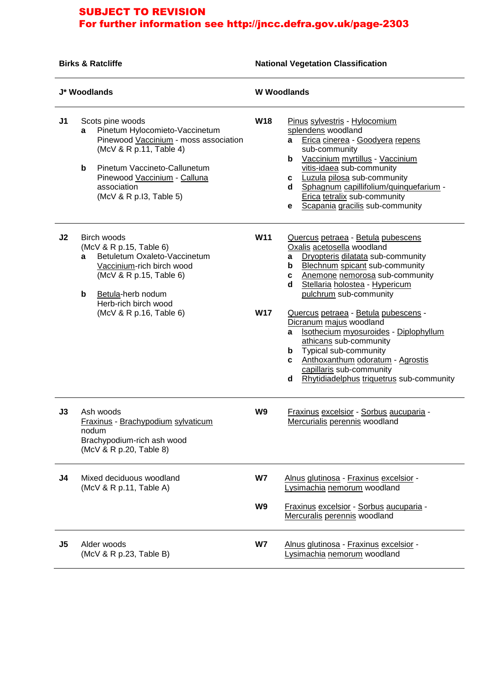**Birks & Ratcliffe National Vegetation Classification** 

| J* Woodlands   |                                                                                                                                                                                                                                            |                          | <b>W</b> Woodlands                                                                                                                                                                                                                                                                                                                                                                                                                                                                                                                                       |  |  |
|----------------|--------------------------------------------------------------------------------------------------------------------------------------------------------------------------------------------------------------------------------------------|--------------------------|----------------------------------------------------------------------------------------------------------------------------------------------------------------------------------------------------------------------------------------------------------------------------------------------------------------------------------------------------------------------------------------------------------------------------------------------------------------------------------------------------------------------------------------------------------|--|--|
| J <sub>1</sub> | Scots pine woods<br>Pinetum Hylocomieto-Vaccinetum<br>a<br>Pinewood Vaccinium - moss association<br>(McV & R p.11, Table 4)<br>b<br>Pinetum Vaccineto-Callunetum<br>Pinewood Vaccinium - Calluna<br>association<br>(McV & R p.13, Table 5) | <b>W18</b>               | Pinus sylvestris - Hylocomium<br>splendens woodland<br>Erica cinerea - Goodyera repens<br>a<br>sub-community<br>Vaccinium myrtillus - Vaccinium<br>b<br>vitis-idaea sub-community<br>Luzula pilosa sub-community<br>C<br>Sphagnum capillifolium/quinquefarium -<br>d<br>Erica tetralix sub-community<br>Scapania gracilis sub-community<br>е                                                                                                                                                                                                             |  |  |
| J <sub>2</sub> | Birch woods<br>(McV & R p.15, Table 6)<br>Betuletum Oxaleto-Vaccinetum<br>a<br>Vaccinium-rich birch wood<br>(McV & R p.15, Table 6)<br>Betula-herb nodum<br>b<br>Herb-rich birch wood<br>(McV & R p.16, Table 6)                           | <b>W11</b><br><b>W17</b> | Quercus petraea - Betula pubescens<br>Oxalis acetosella woodland<br>Dryopteris dilatata sub-community<br>а<br>Blechnum spicant sub-community<br>b<br>Anemone nemorosa sub-community<br>c<br>Stellaria holostea - Hypericum<br>d<br>pulchrum sub-community<br>Quercus petraea - Betula pubescens -<br>Dicranum majus woodland<br>Isothecium myosuroides - Diplophyllum<br>a<br>athicans sub-community<br>Typical sub-community<br>b<br>Anthoxanthum odoratum - Agrostis<br>c<br>capillaris sub-community<br>Rhytidiadelphus triquetrus sub-community<br>d |  |  |
| J3             | Ash woods<br>Fraxinus - Brachypodium sylvaticum<br>nodum<br>Brachypodium-rich ash wood<br>(McV & R p.20, Table 8)                                                                                                                          | W9                       | Fraxinus excelsior - Sorbus aucuparia -<br>Mercurialis perennis woodland                                                                                                                                                                                                                                                                                                                                                                                                                                                                                 |  |  |
| J4             | Mixed deciduous woodland<br>(McV & R p.11, Table A)                                                                                                                                                                                        | W7<br>W9                 | Alnus glutinosa - Fraxinus excelsior -<br>Lysimachia nemorum woodland<br>Fraxinus excelsior - Sorbus aucuparia -<br>Mercuralis perennis woodland                                                                                                                                                                                                                                                                                                                                                                                                         |  |  |
| J <sub>5</sub> | Alder woods<br>(McV & R p.23, Table B)                                                                                                                                                                                                     | W7                       | Alnus glutinosa - Fraxinus excelsior -<br>Lysimachia nemorum woodland                                                                                                                                                                                                                                                                                                                                                                                                                                                                                    |  |  |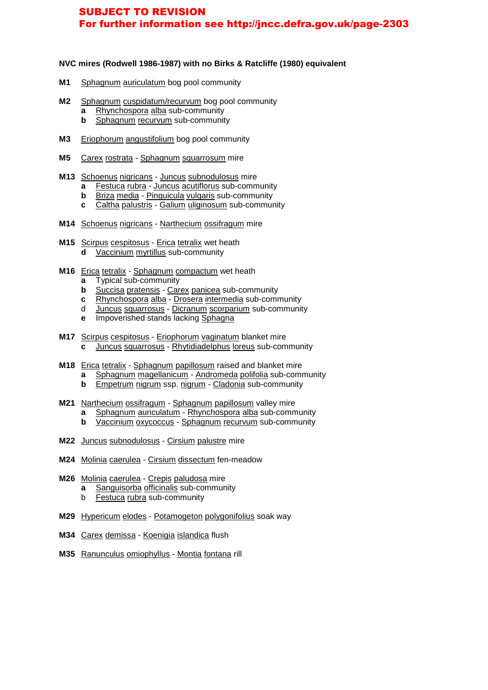#### **NVC mires (Rodwell 1986-1987) with no Birks & Ratcliffe (1980) equivalent**

- **M1** Sphagnum auriculatum bog pool community
- M2 Sphagnum cuspidatum/recurvum bog pool community **a** Rhynchospora alba sub-community
	- **b** Sphagnum recurvum sub-community
- **M3** Eriophorum angustifolium bog pool community
- **M5** Carex rostrata Sphagnum squarrosum mire
- **M13** Schoenus nigricans Juncus subnodulosus mire
	- **a** Festuca rubra Juncus acutiflorus sub-community
	- **b** Briza media Pinguicula vulgaris sub-community
	- **c** Caltha palustris Galium uliginosum sub-community
- **M14** Schoenus nigricans Narthecium ossifragum mire
- M15 Scirpus cespitosus Erica tetralix wet heath **d** Vaccinium myrtillus sub-community
- **M16** Erica tetralix Sphagnum compactum wet heath
	- **a** Typical sub-community
	- **b** Succisa pratensis Carex panicea sub-community
	- **c** Rhynchospora alba Drosera intermedia sub-community
- d Juncus squarrosus Dicranum scorparium sub-community
	- **e** Impoverished stands lacking Sphagna
- **M17** Scirpus cespitosus Eriophorum vaginatum blanket mire **c** Juncus squarrosus - Rhytidiadelphus loreus sub-community
- **M18** Erica tetralix Sphagnum papillosum raised and blanket mire **a** Sphagnum magellanicum - Andromeda polifolia sub-community **b** Empetrum nigrum ssp. nigrum - Cladonia sub-community
- **M21** Narthecium ossifragum Sphagnum papillosum valley mire **a** Sphagnum auriculatum - Rhynchospora alba sub-community **b** Vaccinium oxycoccus - Sphagnum recurvum sub-community
	-
- **M22** Juncus subnodulosus Cirsium palustre mire
- **M24** Molinia caerulea Cirsium dissectum fen-meadow
- **M26** Molinia caerulea Crepis paludosa mire
	- **a** Sanguisorba officinalis sub-community
	- b Festuca rubra sub-community
- **M29** Hypericum elodes Potamogeton polygonifolius soak way
- **M34** Carex demissa Koenigia islandica flush
- **M35** Ranunculus omiophyllus Montia fontana rill